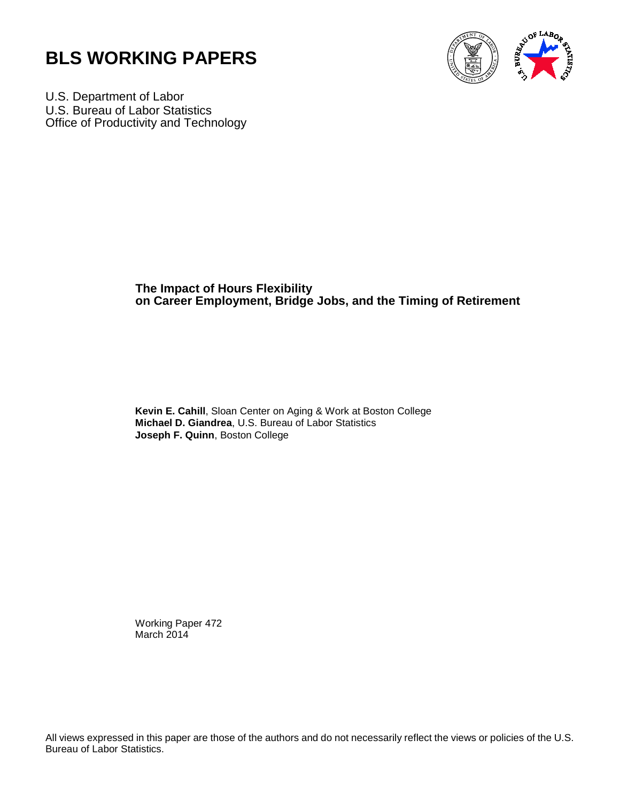



U.S. Department of Labor U.S. Bureau of Labor Statistics Office of Productivity and Technology

## **The Impact of Hours Flexibility on Career Employment, Bridge Jobs, and the Timing of Retirement**

 **Kevin E. Cahill**, Sloan Center on Aging & Work at Boston College **Michael D. Giandrea**, U.S. Bureau of Labor Statistics **Joseph F. Quinn**, Boston College

 Working Paper 472 March 2014

All views expressed in this paper are those of the authors and do not necessarily reflect the views or policies of the U.S. Bureau of Labor Statistics.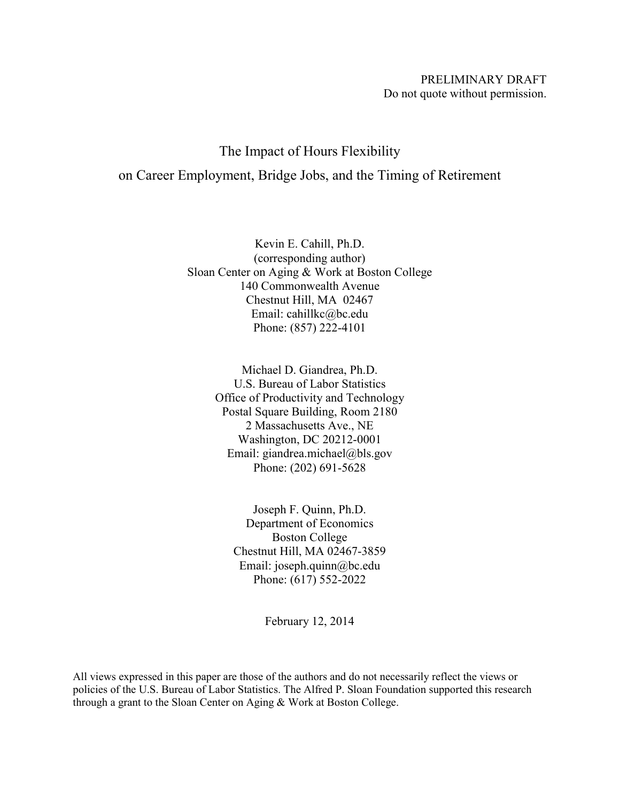## PRELIMINARY DRAFT Do not quote without permission.

# The Impact of Hours Flexibility on Career Employment, Bridge Jobs, and the Timing of Retirement

Kevin E. Cahill, Ph.D. (corresponding author) Sloan Center on Aging & Work at Boston College 140 Commonwealth Avenue Chestnut Hill, MA 02467 Email: cahillkc@bc.edu Phone: (857) 222-4101

> Michael D. Giandrea, Ph.D. U.S. Bureau of Labor Statistics Office of Productivity and Technology Postal Square Building, Room 2180 2 Massachusetts Ave., NE Washington, DC 20212-0001 Email: giandrea.michael@bls.gov Phone: (202) 691-5628

Joseph F. Quinn, Ph.D. Department of Economics Boston College Chestnut Hill, MA 02467-3859 Email: joseph.quinn@bc.edu Phone: (617) 552-2022

February 12, 2014

All views expressed in this paper are those of the authors and do not necessarily reflect the views or policies of the U.S. Bureau of Labor Statistics. The Alfred P. Sloan Foundation supported this research through a grant to the Sloan Center on Aging & Work at Boston College.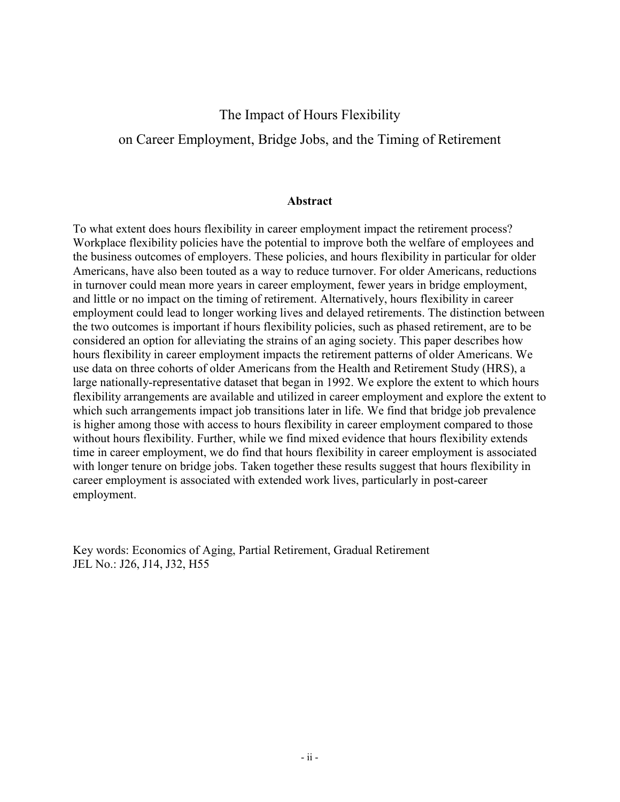## The Impact of Hours Flexibility

on Career Employment, Bridge Jobs, and the Timing of Retirement

### **Abstract**

To what extent does hours flexibility in career employment impact the retirement process? Workplace flexibility policies have the potential to improve both the welfare of employees and the business outcomes of employers. These policies, and hours flexibility in particular for older Americans, have also been touted as a way to reduce turnover. For older Americans, reductions in turnover could mean more years in career employment, fewer years in bridge employment, and little or no impact on the timing of retirement. Alternatively, hours flexibility in career employment could lead to longer working lives and delayed retirements. The distinction between the two outcomes is important if hours flexibility policies, such as phased retirement, are to be considered an option for alleviating the strains of an aging society. This paper describes how hours flexibility in career employment impacts the retirement patterns of older Americans. We use data on three cohorts of older Americans from the Health and Retirement Study (HRS), a large nationally-representative dataset that began in 1992. We explore the extent to which hours flexibility arrangements are available and utilized in career employment and explore the extent to which such arrangements impact job transitions later in life. We find that bridge job prevalence is higher among those with access to hours flexibility in career employment compared to those without hours flexibility. Further, while we find mixed evidence that hours flexibility extends time in career employment, we do find that hours flexibility in career employment is associated with longer tenure on bridge jobs. Taken together these results suggest that hours flexibility in career employment is associated with extended work lives, particularly in post-career employment.

Key words: Economics of Aging, Partial Retirement, Gradual Retirement JEL No.: J26, J14, J32, H55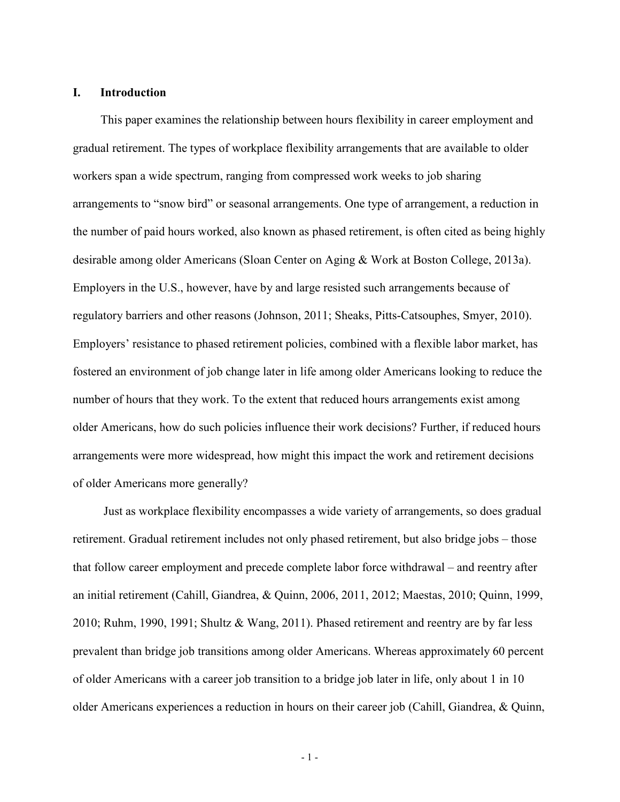## **I. Introduction**

This paper examines the relationship between hours flexibility in career employment and gradual retirement. The types of workplace flexibility arrangements that are available to older workers span a wide spectrum, ranging from compressed work weeks to job sharing arrangements to "snow bird" or seasonal arrangements. One type of arrangement, a reduction in the number of paid hours worked, also known as phased retirement, is often cited as being highly desirable among older Americans (Sloan Center on Aging & Work at Boston College, 2013a). Employers in the U.S., however, have by and large resisted such arrangements because of regulatory barriers and other reasons (Johnson, 2011; Sheaks, Pitts-Catsouphes, Smyer, 2010). Employers' resistance to phased retirement policies, combined with a flexible labor market, has fostered an environment of job change later in life among older Americans looking to reduce the number of hours that they work. To the extent that reduced hours arrangements exist among older Americans, how do such policies influence their work decisions? Further, if reduced hours arrangements were more widespread, how might this impact the work and retirement decisions of older Americans more generally?

 Just as workplace flexibility encompasses a wide variety of arrangements, so does gradual retirement. Gradual retirement includes not only phased retirement, but also bridge jobs – those that follow career employment and precede complete labor force withdrawal – and reentry after an initial retirement (Cahill, Giandrea, & Quinn, 2006, 2011, 2012; Maestas, 2010; Quinn, 1999, 2010; Ruhm, 1990, 1991; Shultz & Wang, 2011). Phased retirement and reentry are by far less prevalent than bridge job transitions among older Americans. Whereas approximately 60 percent of older Americans with a career job transition to a bridge job later in life, only about 1 in 10 older Americans experiences a reduction in hours on their career job (Cahill, Giandrea, & Quinn,

- 1 -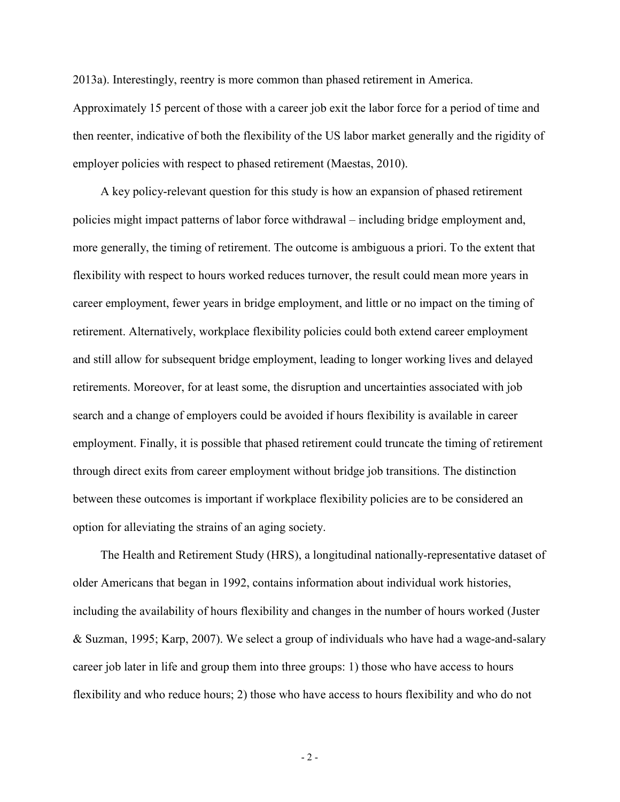2013a). Interestingly, reentry is more common than phased retirement in America.

Approximately 15 percent of those with a career job exit the labor force for a period of time and then reenter, indicative of both the flexibility of the US labor market generally and the rigidity of employer policies with respect to phased retirement (Maestas, 2010).

A key policy-relevant question for this study is how an expansion of phased retirement policies might impact patterns of labor force withdrawal – including bridge employment and, more generally, the timing of retirement. The outcome is ambiguous a priori. To the extent that flexibility with respect to hours worked reduces turnover, the result could mean more years in career employment, fewer years in bridge employment, and little or no impact on the timing of retirement. Alternatively, workplace flexibility policies could both extend career employment and still allow for subsequent bridge employment, leading to longer working lives and delayed retirements. Moreover, for at least some, the disruption and uncertainties associated with job search and a change of employers could be avoided if hours flexibility is available in career employment. Finally, it is possible that phased retirement could truncate the timing of retirement through direct exits from career employment without bridge job transitions. The distinction between these outcomes is important if workplace flexibility policies are to be considered an option for alleviating the strains of an aging society.

The Health and Retirement Study (HRS), a longitudinal nationally-representative dataset of older Americans that began in 1992, contains information about individual work histories, including the availability of hours flexibility and changes in the number of hours worked (Juster & Suzman, 1995; Karp, 2007). We select a group of individuals who have had a wage-and-salary career job later in life and group them into three groups: 1) those who have access to hours flexibility and who reduce hours; 2) those who have access to hours flexibility and who do not

- 2 -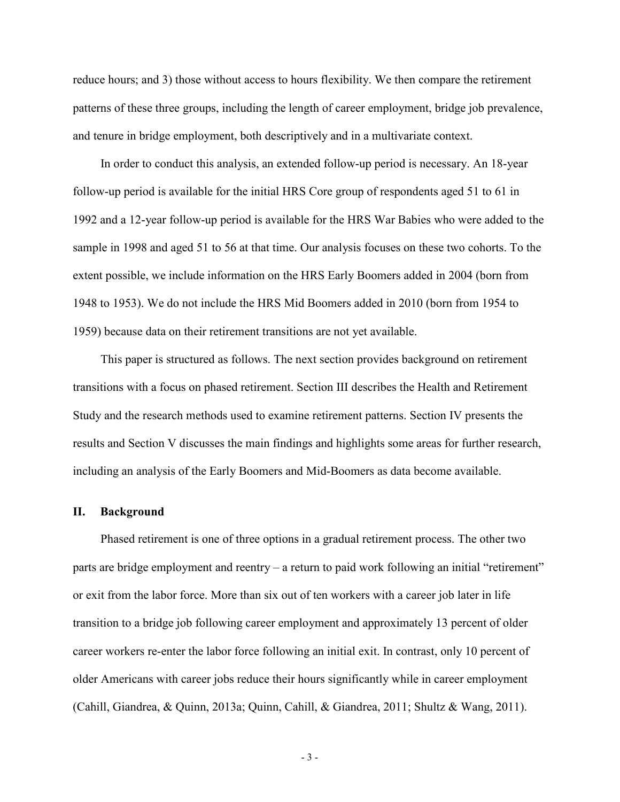reduce hours; and 3) those without access to hours flexibility. We then compare the retirement patterns of these three groups, including the length of career employment, bridge job prevalence, and tenure in bridge employment, both descriptively and in a multivariate context.

In order to conduct this analysis, an extended follow-up period is necessary. An 18-year follow-up period is available for the initial HRS Core group of respondents aged 51 to 61 in 1992 and a 12-year follow-up period is available for the HRS War Babies who were added to the sample in 1998 and aged 51 to 56 at that time. Our analysis focuses on these two cohorts. To the extent possible, we include information on the HRS Early Boomers added in 2004 (born from 1948 to 1953). We do not include the HRS Mid Boomers added in 2010 (born from 1954 to 1959) because data on their retirement transitions are not yet available.

This paper is structured as follows. The next section provides background on retirement transitions with a focus on phased retirement. Section III describes the Health and Retirement Study and the research methods used to examine retirement patterns. Section IV presents the results and Section V discusses the main findings and highlights some areas for further research, including an analysis of the Early Boomers and Mid-Boomers as data become available.

### **II. Background**

Phased retirement is one of three options in a gradual retirement process. The other two parts are bridge employment and reentry – a return to paid work following an initial "retirement" or exit from the labor force. More than six out of ten workers with a career job later in life transition to a bridge job following career employment and approximately 13 percent of older career workers re-enter the labor force following an initial exit. In contrast, only 10 percent of older Americans with career jobs reduce their hours significantly while in career employment (Cahill, Giandrea, & Quinn, 2013a; Quinn, Cahill, & Giandrea, 2011; Shultz & Wang, 2011).

- 3 -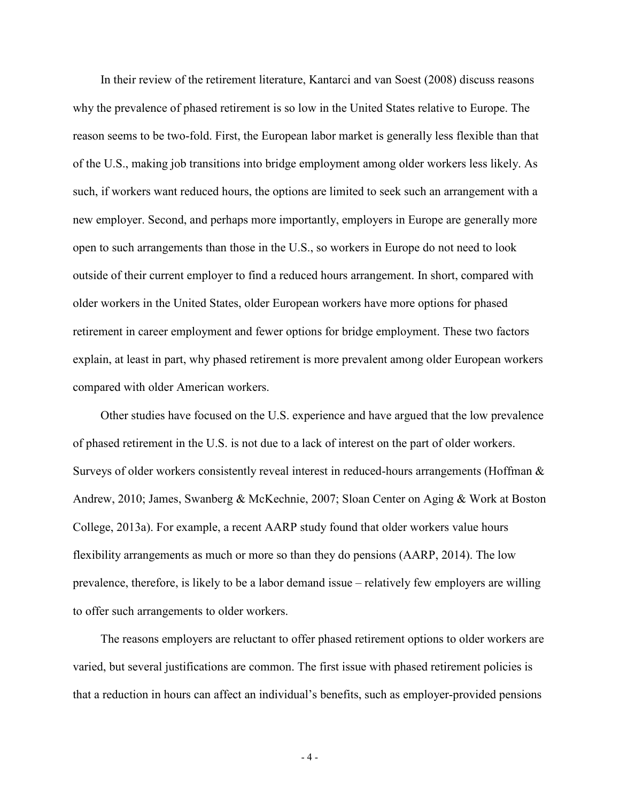In their review of the retirement literature, Kantarci and van Soest (2008) discuss reasons why the prevalence of phased retirement is so low in the United States relative to Europe. The reason seems to be two-fold. First, the European labor market is generally less flexible than that of the U.S., making job transitions into bridge employment among older workers less likely. As such, if workers want reduced hours, the options are limited to seek such an arrangement with a new employer. Second, and perhaps more importantly, employers in Europe are generally more open to such arrangements than those in the U.S., so workers in Europe do not need to look outside of their current employer to find a reduced hours arrangement. In short, compared with older workers in the United States, older European workers have more options for phased retirement in career employment and fewer options for bridge employment. These two factors explain, at least in part, why phased retirement is more prevalent among older European workers compared with older American workers.

Other studies have focused on the U.S. experience and have argued that the low prevalence of phased retirement in the U.S. is not due to a lack of interest on the part of older workers. Surveys of older workers consistently reveal interest in reduced-hours arrangements (Hoffman & Andrew, 2010; James, Swanberg & McKechnie, 2007; Sloan Center on Aging & Work at Boston College, 2013a). For example, a recent AARP study found that older workers value hours flexibility arrangements as much or more so than they do pensions (AARP, 2014). The low prevalence, therefore, is likely to be a labor demand issue – relatively few employers are willing to offer such arrangements to older workers.

The reasons employers are reluctant to offer phased retirement options to older workers are varied, but several justifications are common. The first issue with phased retirement policies is that a reduction in hours can affect an individual's benefits, such as employer-provided pensions

- 4 -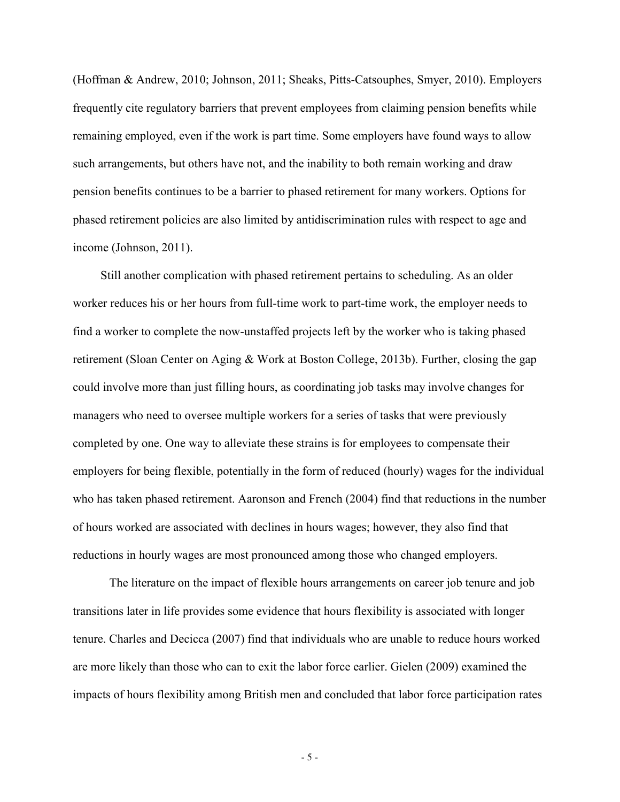(Hoffman & Andrew, 2010; Johnson, 2011; Sheaks, Pitts-Catsouphes, Smyer, 2010). Employers frequently cite regulatory barriers that prevent employees from claiming pension benefits while remaining employed, even if the work is part time. Some employers have found ways to allow such arrangements, but others have not, and the inability to both remain working and draw pension benefits continues to be a barrier to phased retirement for many workers. Options for phased retirement policies are also limited by antidiscrimination rules with respect to age and income (Johnson, 2011).

Still another complication with phased retirement pertains to scheduling. As an older worker reduces his or her hours from full-time work to part-time work, the employer needs to find a worker to complete the now-unstaffed projects left by the worker who is taking phased retirement (Sloan Center on Aging & Work at Boston College, 2013b). Further, closing the gap could involve more than just filling hours, as coordinating job tasks may involve changes for managers who need to oversee multiple workers for a series of tasks that were previously completed by one. One way to alleviate these strains is for employees to compensate their employers for being flexible, potentially in the form of reduced (hourly) wages for the individual who has taken phased retirement. Aaronson and French (2004) find that reductions in the number of hours worked are associated with declines in hours wages; however, they also find that reductions in hourly wages are most pronounced among those who changed employers.

The literature on the impact of flexible hours arrangements on career job tenure and job transitions later in life provides some evidence that hours flexibility is associated with longer tenure. Charles and Decicca (2007) find that individuals who are unable to reduce hours worked are more likely than those who can to exit the labor force earlier. Gielen (2009) examined the impacts of hours flexibility among British men and concluded that labor force participation rates

- 5 -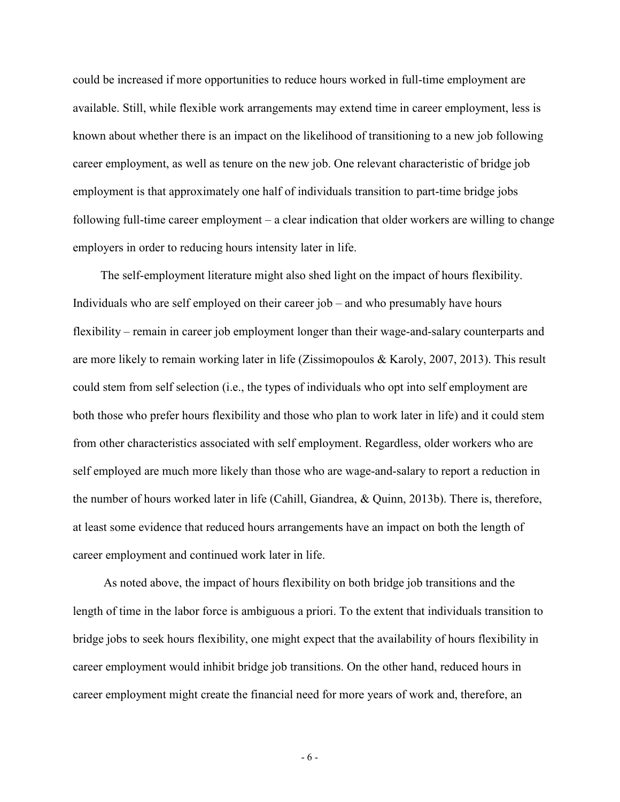could be increased if more opportunities to reduce hours worked in full-time employment are available. Still, while flexible work arrangements may extend time in career employment, less is known about whether there is an impact on the likelihood of transitioning to a new job following career employment, as well as tenure on the new job. One relevant characteristic of bridge job employment is that approximately one half of individuals transition to part-time bridge jobs following full-time career employment – a clear indication that older workers are willing to change employers in order to reducing hours intensity later in life.

The self-employment literature might also shed light on the impact of hours flexibility. Individuals who are self employed on their career job – and who presumably have hours flexibility – remain in career job employment longer than their wage-and-salary counterparts and are more likely to remain working later in life (Zissimopoulos & Karoly, 2007, 2013). This result could stem from self selection (i.e., the types of individuals who opt into self employment are both those who prefer hours flexibility and those who plan to work later in life) and it could stem from other characteristics associated with self employment. Regardless, older workers who are self employed are much more likely than those who are wage-and-salary to report a reduction in the number of hours worked later in life (Cahill, Giandrea, & Quinn, 2013b). There is, therefore, at least some evidence that reduced hours arrangements have an impact on both the length of career employment and continued work later in life.

 As noted above, the impact of hours flexibility on both bridge job transitions and the length of time in the labor force is ambiguous a priori. To the extent that individuals transition to bridge jobs to seek hours flexibility, one might expect that the availability of hours flexibility in career employment would inhibit bridge job transitions. On the other hand, reduced hours in career employment might create the financial need for more years of work and, therefore, an

- 6 -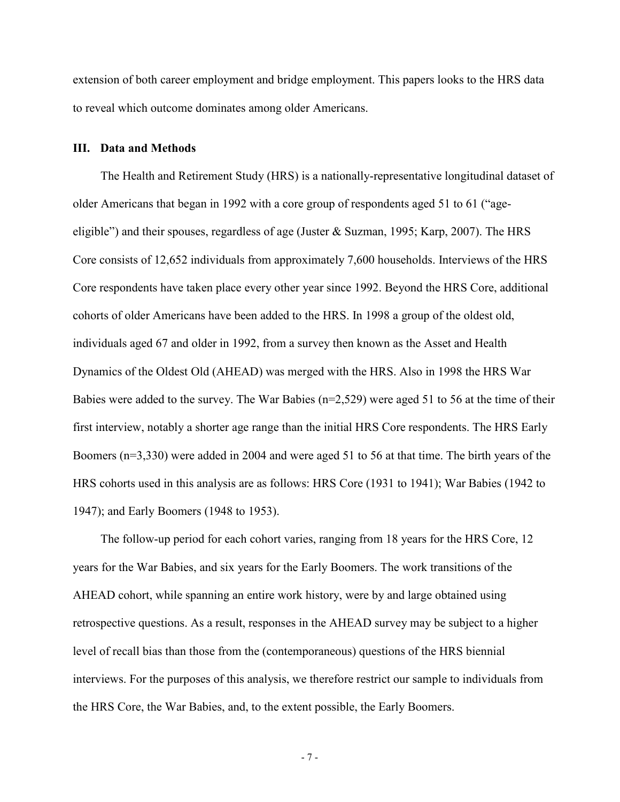extension of both career employment and bridge employment. This papers looks to the HRS data to reveal which outcome dominates among older Americans.

### **III. Data and Methods**

The Health and Retirement Study (HRS) is a nationally-representative longitudinal dataset of older Americans that began in 1992 with a core group of respondents aged 51 to 61 ("ageeligible") and their spouses, regardless of age (Juster & Suzman, 1995; Karp, 2007). The HRS Core consists of 12,652 individuals from approximately 7,600 households. Interviews of the HRS Core respondents have taken place every other year since 1992. Beyond the HRS Core, additional cohorts of older Americans have been added to the HRS. In 1998 a group of the oldest old, individuals aged 67 and older in 1992, from a survey then known as the Asset and Health Dynamics of the Oldest Old (AHEAD) was merged with the HRS. Also in 1998 the HRS War Babies were added to the survey. The War Babies (n=2,529) were aged 51 to 56 at the time of their first interview, notably a shorter age range than the initial HRS Core respondents. The HRS Early Boomers (n=3,330) were added in 2004 and were aged 51 to 56 at that time. The birth years of the HRS cohorts used in this analysis are as follows: HRS Core (1931 to 1941); War Babies (1942 to 1947); and Early Boomers (1948 to 1953).

The follow-up period for each cohort varies, ranging from 18 years for the HRS Core, 12 years for the War Babies, and six years for the Early Boomers. The work transitions of the AHEAD cohort, while spanning an entire work history, were by and large obtained using retrospective questions. As a result, responses in the AHEAD survey may be subject to a higher level of recall bias than those from the (contemporaneous) questions of the HRS biennial interviews. For the purposes of this analysis, we therefore restrict our sample to individuals from the HRS Core, the War Babies, and, to the extent possible, the Early Boomers.

- 7 -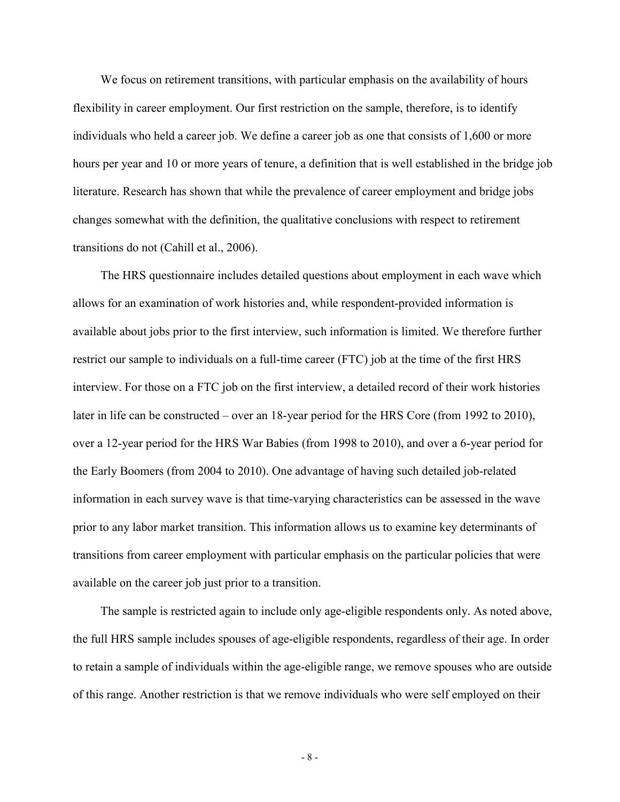We focus on retirement transitions, with particular emphasis on the availability of hours flexibility in career employment. Our first restriction on the sample, therefore, is to identify individuals who held a career job. We define a career job as one that consists of 1,600 or more hours per year and 10 or more years of tenure, a definition that is well established in the bridge job literature. Research has shown that while the prevalence of career employment and bridge jobs changes somewhat with the definition, the qualitative conclusions with respect to retirement transitions do not (Cahill et al., 2006).

The HRS questionnaire includes detailed questions about employment in each wave which allows for an examination of work histories and, while respondent-provided information is available about jobs prior to the first interview, such information is limited. We therefore further restrict our sample to individuals on a full-time career (FTC) job at the time of the first HRS interview. For those on a FTC job on the first interview, a detailed record of their work histories later in life can be constructed – over an 18-year period for the HRS Core (from 1992 to 2010), over a 12-year period for the HRS War Babies (from 1998 to 2010), and over a 6-year period for the Early Boomers (from 2004 to 2010). One advantage of having such detailed job-related information in each survey wave is that time-varying characteristics can be assessed in the wave prior to any labor market transition. This information allows us to examine key determinants of transitions from career employment with particular emphasis on the particular policies that were available on the career job just prior to a transition.

The sample is restricted again to include only age-eligible respondents only. As noted above, the full HRS sample includes spouses of age-eligible respondents, regardless of their age. In order to retain a sample of individuals within the age-eligible range, we remove spouses who are outside of this range. Another restriction is that we remove individuals who were self employed on their

- 8 -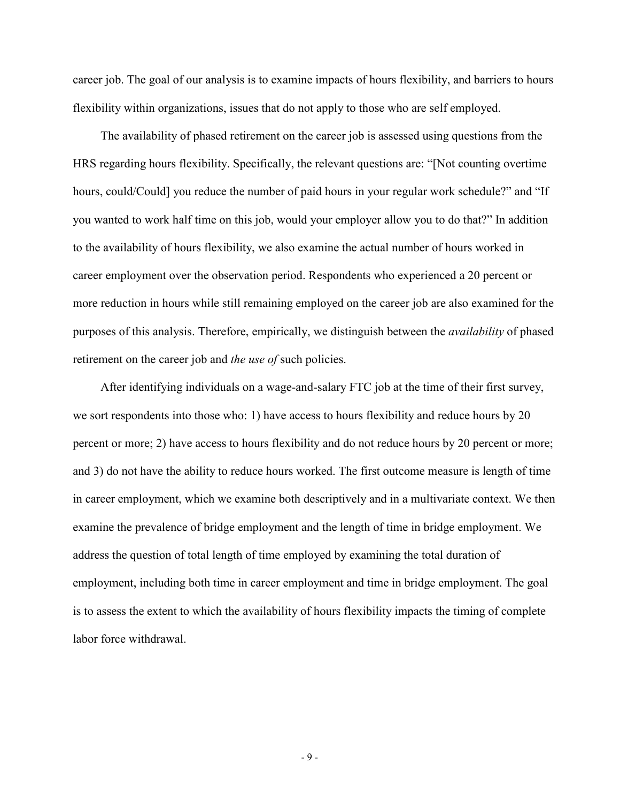career job. The goal of our analysis is to examine impacts of hours flexibility, and barriers to hours flexibility within organizations, issues that do not apply to those who are self employed.

The availability of phased retirement on the career job is assessed using questions from the HRS regarding hours flexibility. Specifically, the relevant questions are: "[Not counting overtime hours, could/Could] you reduce the number of paid hours in your regular work schedule?" and "If you wanted to work half time on this job, would your employer allow you to do that?" In addition to the availability of hours flexibility, we also examine the actual number of hours worked in career employment over the observation period. Respondents who experienced a 20 percent or more reduction in hours while still remaining employed on the career job are also examined for the purposes of this analysis. Therefore, empirically, we distinguish between the *availability* of phased retirement on the career job and *the use of* such policies.

After identifying individuals on a wage-and-salary FTC job at the time of their first survey, we sort respondents into those who: 1) have access to hours flexibility and reduce hours by 20 percent or more; 2) have access to hours flexibility and do not reduce hours by 20 percent or more; and 3) do not have the ability to reduce hours worked. The first outcome measure is length of time in career employment, which we examine both descriptively and in a multivariate context. We then examine the prevalence of bridge employment and the length of time in bridge employment. We address the question of total length of time employed by examining the total duration of employment, including both time in career employment and time in bridge employment. The goal is to assess the extent to which the availability of hours flexibility impacts the timing of complete labor force withdrawal.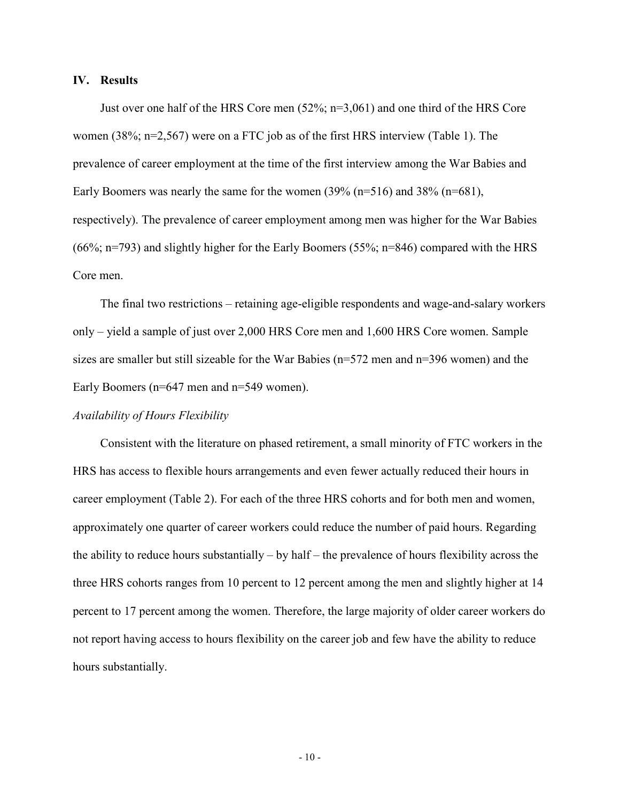## **IV. Results**

Just over one half of the HRS Core men (52%; n=3,061) and one third of the HRS Core women (38%; n=2,567) were on a FTC job as of the first HRS interview (Table 1). The prevalence of career employment at the time of the first interview among the War Babies and Early Boomers was nearly the same for the women (39% (n=516) and 38% (n=681), respectively). The prevalence of career employment among men was higher for the War Babies  $(66\%; n=793)$  and slightly higher for the Early Boomers (55%; n=846) compared with the HRS Core men.

The final two restrictions – retaining age-eligible respondents and wage-and-salary workers only – yield a sample of just over 2,000 HRS Core men and 1,600 HRS Core women. Sample sizes are smaller but still sizeable for the War Babies (n=572 men and n=396 women) and the Early Boomers (n=647 men and n=549 women).

#### *Availability of Hours Flexibility*

Consistent with the literature on phased retirement, a small minority of FTC workers in the HRS has access to flexible hours arrangements and even fewer actually reduced their hours in career employment (Table 2). For each of the three HRS cohorts and for both men and women, approximately one quarter of career workers could reduce the number of paid hours. Regarding the ability to reduce hours substantially – by half – the prevalence of hours flexibility across the three HRS cohorts ranges from 10 percent to 12 percent among the men and slightly higher at 14 percent to 17 percent among the women. Therefore, the large majority of older career workers do not report having access to hours flexibility on the career job and few have the ability to reduce hours substantially.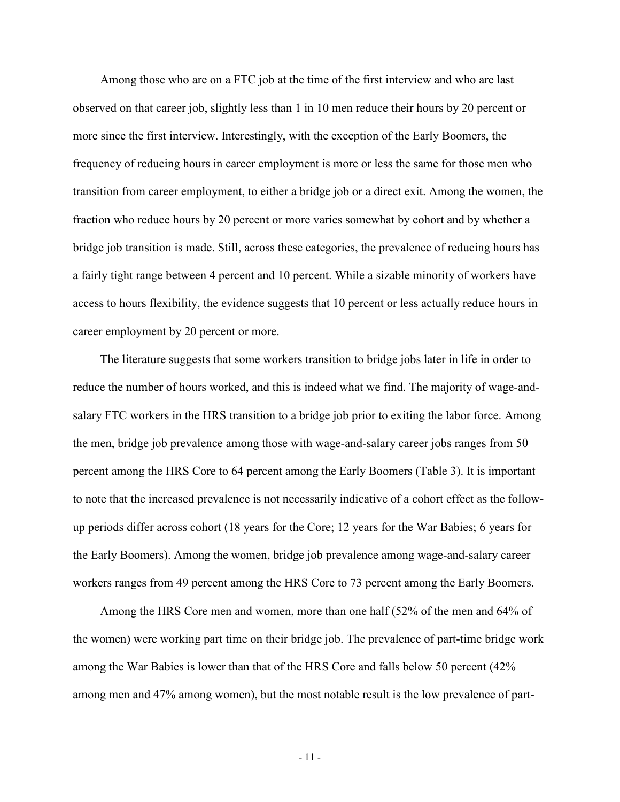Among those who are on a FTC job at the time of the first interview and who are last observed on that career job, slightly less than 1 in 10 men reduce their hours by 20 percent or more since the first interview. Interestingly, with the exception of the Early Boomers, the frequency of reducing hours in career employment is more or less the same for those men who transition from career employment, to either a bridge job or a direct exit. Among the women, the fraction who reduce hours by 20 percent or more varies somewhat by cohort and by whether a bridge job transition is made. Still, across these categories, the prevalence of reducing hours has a fairly tight range between 4 percent and 10 percent. While a sizable minority of workers have access to hours flexibility, the evidence suggests that 10 percent or less actually reduce hours in career employment by 20 percent or more.

The literature suggests that some workers transition to bridge jobs later in life in order to reduce the number of hours worked, and this is indeed what we find. The majority of wage-andsalary FTC workers in the HRS transition to a bridge job prior to exiting the labor force. Among the men, bridge job prevalence among those with wage-and-salary career jobs ranges from 50 percent among the HRS Core to 64 percent among the Early Boomers (Table 3). It is important to note that the increased prevalence is not necessarily indicative of a cohort effect as the followup periods differ across cohort (18 years for the Core; 12 years for the War Babies; 6 years for the Early Boomers). Among the women, bridge job prevalence among wage-and-salary career workers ranges from 49 percent among the HRS Core to 73 percent among the Early Boomers.

Among the HRS Core men and women, more than one half (52% of the men and 64% of the women) were working part time on their bridge job. The prevalence of part-time bridge work among the War Babies is lower than that of the HRS Core and falls below 50 percent (42% among men and 47% among women), but the most notable result is the low prevalence of part-

- 11 -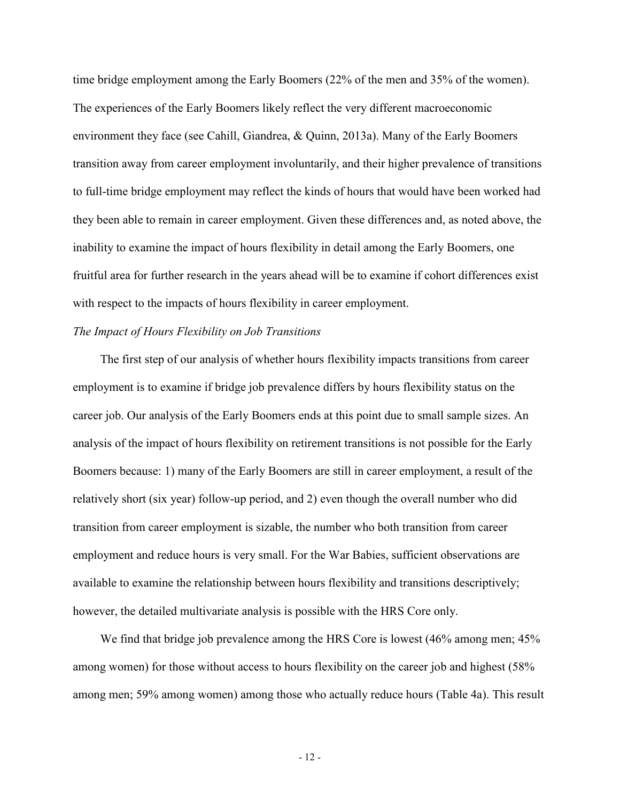time bridge employment among the Early Boomers (22% of the men and 35% of the women). The experiences of the Early Boomers likely reflect the very different macroeconomic environment they face (see Cahill, Giandrea, & Quinn, 2013a). Many of the Early Boomers transition away from career employment involuntarily, and their higher prevalence of transitions to full-time bridge employment may reflect the kinds of hours that would have been worked had they been able to remain in career employment. Given these differences and, as noted above, the inability to examine the impact of hours flexibility in detail among the Early Boomers, one fruitful area for further research in the years ahead will be to examine if cohort differences exist with respect to the impacts of hours flexibility in career employment.

## *The Impact of Hours Flexibility on Job Transitions*

The first step of our analysis of whether hours flexibility impacts transitions from career employment is to examine if bridge job prevalence differs by hours flexibility status on the career job. Our analysis of the Early Boomers ends at this point due to small sample sizes. An analysis of the impact of hours flexibility on retirement transitions is not possible for the Early Boomers because: 1) many of the Early Boomers are still in career employment, a result of the relatively short (six year) follow-up period, and 2) even though the overall number who did transition from career employment is sizable, the number who both transition from career employment and reduce hours is very small. For the War Babies, sufficient observations are available to examine the relationship between hours flexibility and transitions descriptively; however, the detailed multivariate analysis is possible with the HRS Core only.

We find that bridge job prevalence among the HRS Core is lowest (46% among men; 45% among women) for those without access to hours flexibility on the career job and highest (58% among men; 59% among women) among those who actually reduce hours (Table 4a). This result

- 12 -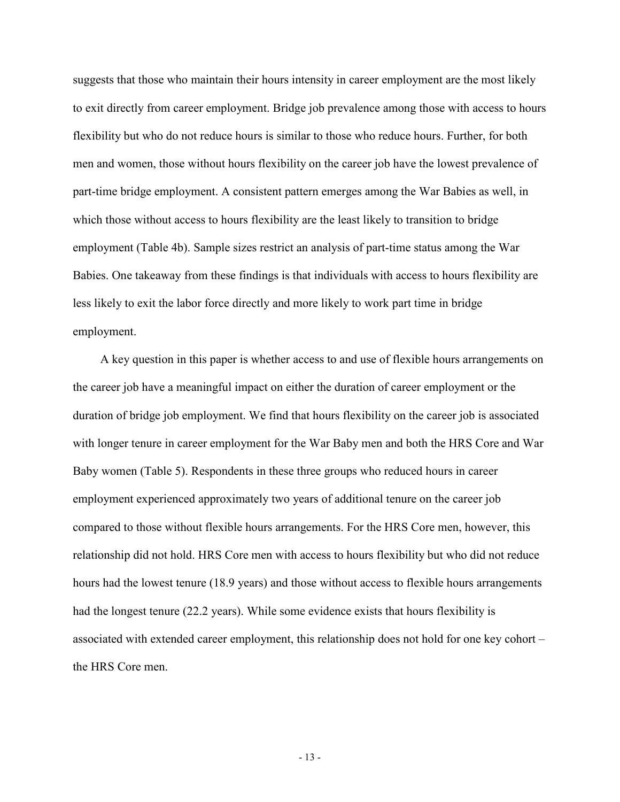suggests that those who maintain their hours intensity in career employment are the most likely to exit directly from career employment. Bridge job prevalence among those with access to hours flexibility but who do not reduce hours is similar to those who reduce hours. Further, for both men and women, those without hours flexibility on the career job have the lowest prevalence of part-time bridge employment. A consistent pattern emerges among the War Babies as well, in which those without access to hours flexibility are the least likely to transition to bridge employment (Table 4b). Sample sizes restrict an analysis of part-time status among the War Babies. One takeaway from these findings is that individuals with access to hours flexibility are less likely to exit the labor force directly and more likely to work part time in bridge employment.

A key question in this paper is whether access to and use of flexible hours arrangements on the career job have a meaningful impact on either the duration of career employment or the duration of bridge job employment. We find that hours flexibility on the career job is associated with longer tenure in career employment for the War Baby men and both the HRS Core and War Baby women (Table 5). Respondents in these three groups who reduced hours in career employment experienced approximately two years of additional tenure on the career job compared to those without flexible hours arrangements. For the HRS Core men, however, this relationship did not hold. HRS Core men with access to hours flexibility but who did not reduce hours had the lowest tenure (18.9 years) and those without access to flexible hours arrangements had the longest tenure (22.2 years). While some evidence exists that hours flexibility is associated with extended career employment, this relationship does not hold for one key cohort – the HRS Core men.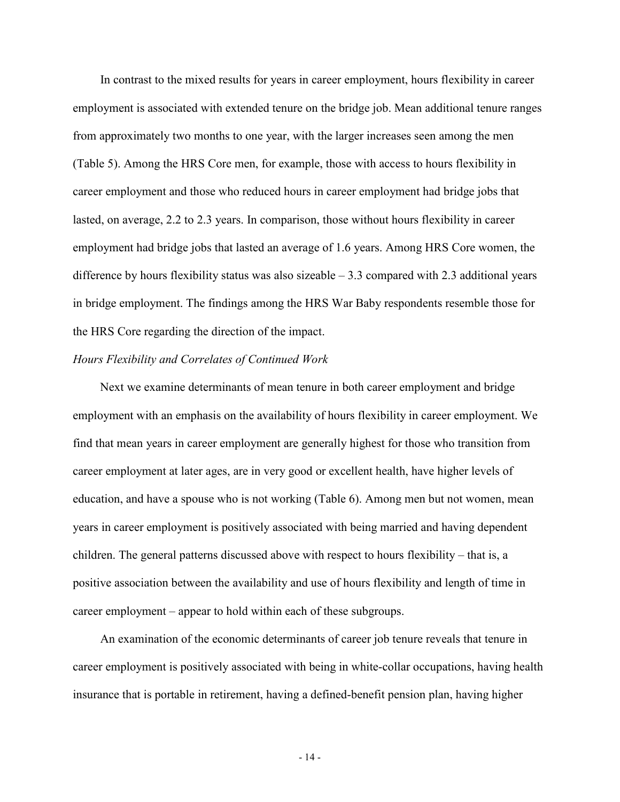In contrast to the mixed results for years in career employment, hours flexibility in career employment is associated with extended tenure on the bridge job. Mean additional tenure ranges from approximately two months to one year, with the larger increases seen among the men (Table 5). Among the HRS Core men, for example, those with access to hours flexibility in career employment and those who reduced hours in career employment had bridge jobs that lasted, on average, 2.2 to 2.3 years. In comparison, those without hours flexibility in career employment had bridge jobs that lasted an average of 1.6 years. Among HRS Core women, the difference by hours flexibility status was also sizeable – 3.3 compared with 2.3 additional years in bridge employment. The findings among the HRS War Baby respondents resemble those for the HRS Core regarding the direction of the impact.

### *Hours Flexibility and Correlates of Continued Work*

Next we examine determinants of mean tenure in both career employment and bridge employment with an emphasis on the availability of hours flexibility in career employment. We find that mean years in career employment are generally highest for those who transition from career employment at later ages, are in very good or excellent health, have higher levels of education, and have a spouse who is not working (Table 6). Among men but not women, mean years in career employment is positively associated with being married and having dependent children. The general patterns discussed above with respect to hours flexibility – that is, a positive association between the availability and use of hours flexibility and length of time in career employment – appear to hold within each of these subgroups.

An examination of the economic determinants of career job tenure reveals that tenure in career employment is positively associated with being in white-collar occupations, having health insurance that is portable in retirement, having a defined-benefit pension plan, having higher

- 14 -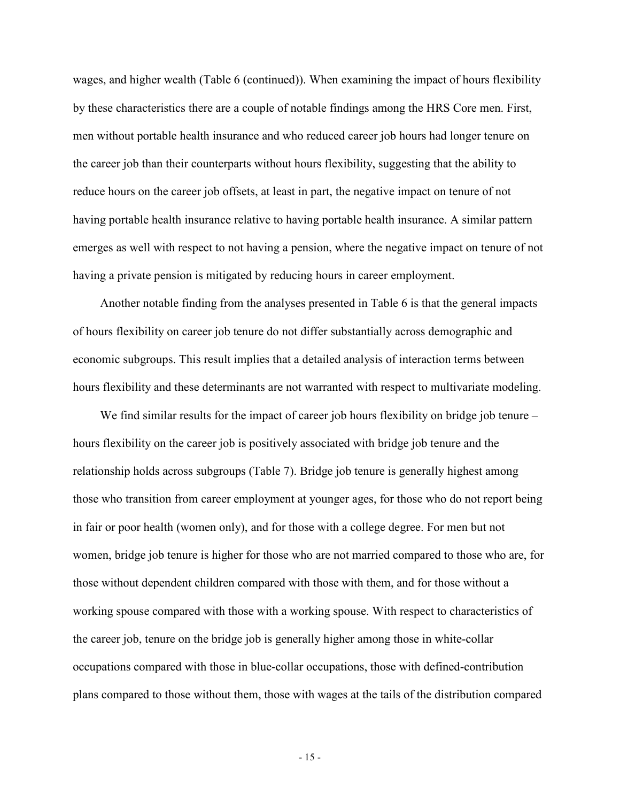wages, and higher wealth (Table 6 (continued)). When examining the impact of hours flexibility by these characteristics there are a couple of notable findings among the HRS Core men. First, men without portable health insurance and who reduced career job hours had longer tenure on the career job than their counterparts without hours flexibility, suggesting that the ability to reduce hours on the career job offsets, at least in part, the negative impact on tenure of not having portable health insurance relative to having portable health insurance. A similar pattern emerges as well with respect to not having a pension, where the negative impact on tenure of not having a private pension is mitigated by reducing hours in career employment.

Another notable finding from the analyses presented in Table 6 is that the general impacts of hours flexibility on career job tenure do not differ substantially across demographic and economic subgroups. This result implies that a detailed analysis of interaction terms between hours flexibility and these determinants are not warranted with respect to multivariate modeling.

We find similar results for the impact of career job hours flexibility on bridge job tenure – hours flexibility on the career job is positively associated with bridge job tenure and the relationship holds across subgroups (Table 7). Bridge job tenure is generally highest among those who transition from career employment at younger ages, for those who do not report being in fair or poor health (women only), and for those with a college degree. For men but not women, bridge job tenure is higher for those who are not married compared to those who are, for those without dependent children compared with those with them, and for those without a working spouse compared with those with a working spouse. With respect to characteristics of the career job, tenure on the bridge job is generally higher among those in white-collar occupations compared with those in blue-collar occupations, those with defined-contribution plans compared to those without them, those with wages at the tails of the distribution compared

- 15 -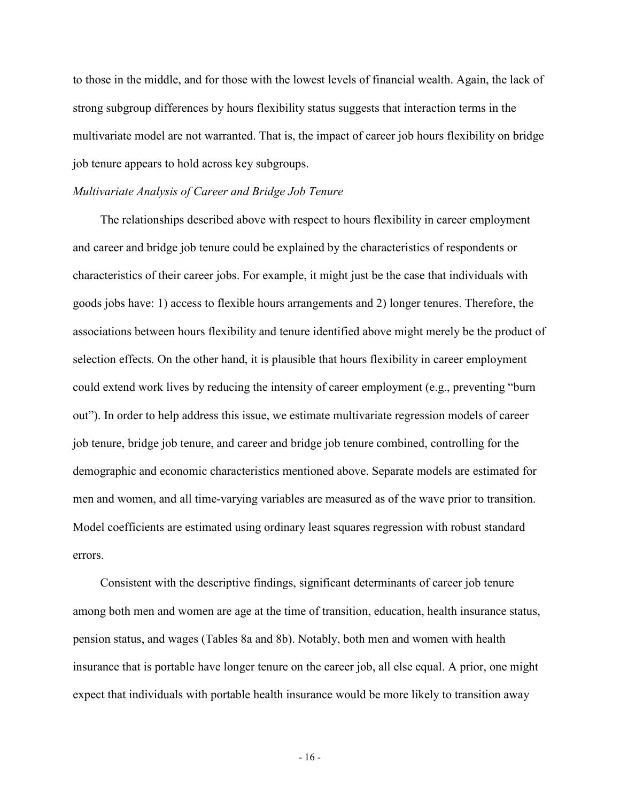to those in the middle, and for those with the lowest levels of financial wealth. Again, the lack of strong subgroup differences by hours flexibility status suggests that interaction terms in the multivariate model are not warranted. That is, the impact of career job hours flexibility on bridge job tenure appears to hold across key subgroups.

#### *Multivariate Analysis of Career and Bridge Job Tenure*

The relationships described above with respect to hours flexibility in career employment and career and bridge job tenure could be explained by the characteristics of respondents or characteristics of their career jobs. For example, it might just be the case that individuals with goods jobs have: 1) access to flexible hours arrangements and 2) longer tenures. Therefore, the associations between hours flexibility and tenure identified above might merely be the product of selection effects. On the other hand, it is plausible that hours flexibility in career employment could extend work lives by reducing the intensity of career employment (e.g., preventing "burn out"). In order to help address this issue, we estimate multivariate regression models of career job tenure, bridge job tenure, and career and bridge job tenure combined, controlling for the demographic and economic characteristics mentioned above. Separate models are estimated for men and women, and all time-varying variables are measured as of the wave prior to transition. Model coefficients are estimated using ordinary least squares regression with robust standard errors.

Consistent with the descriptive findings, significant determinants of career job tenure among both men and women are age at the time of transition, education, health insurance status, pension status, and wages (Tables 8a and 8b). Notably, both men and women with health insurance that is portable have longer tenure on the career job, all else equal. A prior, one might expect that individuals with portable health insurance would be more likely to transition away

- 16 -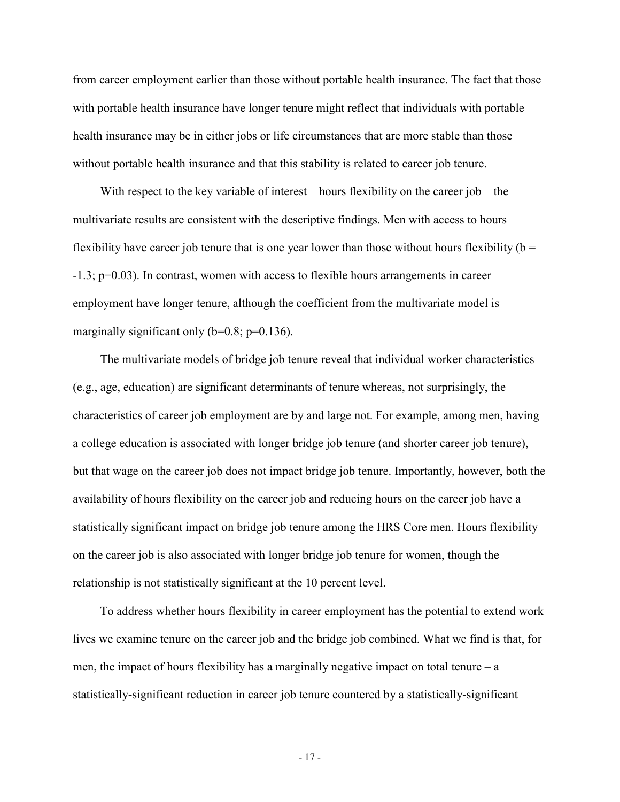from career employment earlier than those without portable health insurance. The fact that those with portable health insurance have longer tenure might reflect that individuals with portable health insurance may be in either jobs or life circumstances that are more stable than those without portable health insurance and that this stability is related to career job tenure.

With respect to the key variable of interest – hours flexibility on the career job – the multivariate results are consistent with the descriptive findings. Men with access to hours flexibility have career job tenure that is one year lower than those without hours flexibility ( $b =$ -1.3; p=0.03). In contrast, women with access to flexible hours arrangements in career employment have longer tenure, although the coefficient from the multivariate model is marginally significant only  $(b=0.8; p=0.136)$ .

The multivariate models of bridge job tenure reveal that individual worker characteristics (e.g., age, education) are significant determinants of tenure whereas, not surprisingly, the characteristics of career job employment are by and large not. For example, among men, having a college education is associated with longer bridge job tenure (and shorter career job tenure), but that wage on the career job does not impact bridge job tenure. Importantly, however, both the availability of hours flexibility on the career job and reducing hours on the career job have a statistically significant impact on bridge job tenure among the HRS Core men. Hours flexibility on the career job is also associated with longer bridge job tenure for women, though the relationship is not statistically significant at the 10 percent level.

To address whether hours flexibility in career employment has the potential to extend work lives we examine tenure on the career job and the bridge job combined. What we find is that, for men, the impact of hours flexibility has a marginally negative impact on total tenure  $-a$ statistically-significant reduction in career job tenure countered by a statistically-significant

- 17 -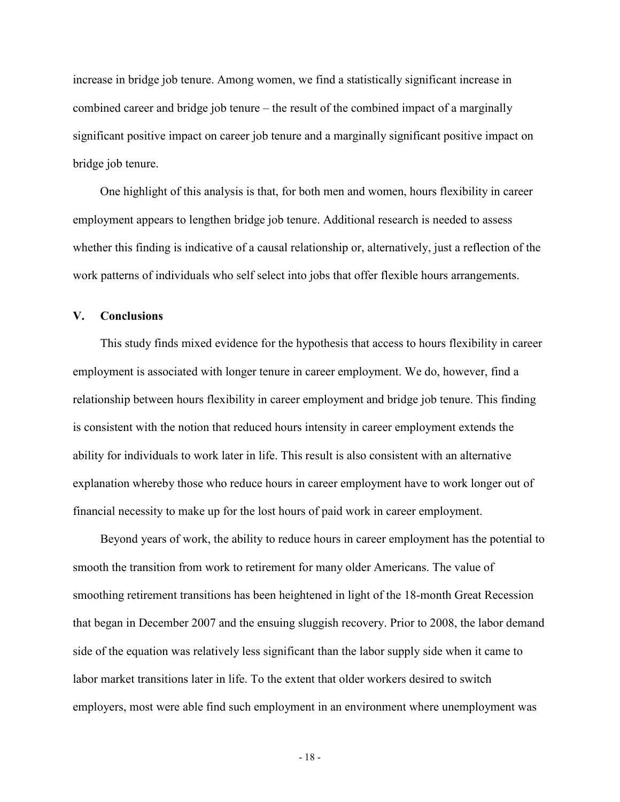increase in bridge job tenure. Among women, we find a statistically significant increase in combined career and bridge job tenure – the result of the combined impact of a marginally significant positive impact on career job tenure and a marginally significant positive impact on bridge job tenure.

One highlight of this analysis is that, for both men and women, hours flexibility in career employment appears to lengthen bridge job tenure. Additional research is needed to assess whether this finding is indicative of a causal relationship or, alternatively, just a reflection of the work patterns of individuals who self select into jobs that offer flexible hours arrangements.

#### **V. Conclusions**

This study finds mixed evidence for the hypothesis that access to hours flexibility in career employment is associated with longer tenure in career employment. We do, however, find a relationship between hours flexibility in career employment and bridge job tenure. This finding is consistent with the notion that reduced hours intensity in career employment extends the ability for individuals to work later in life. This result is also consistent with an alternative explanation whereby those who reduce hours in career employment have to work longer out of financial necessity to make up for the lost hours of paid work in career employment.

Beyond years of work, the ability to reduce hours in career employment has the potential to smooth the transition from work to retirement for many older Americans. The value of smoothing retirement transitions has been heightened in light of the 18-month Great Recession that began in December 2007 and the ensuing sluggish recovery. Prior to 2008, the labor demand side of the equation was relatively less significant than the labor supply side when it came to labor market transitions later in life. To the extent that older workers desired to switch employers, most were able find such employment in an environment where unemployment was

- 18 -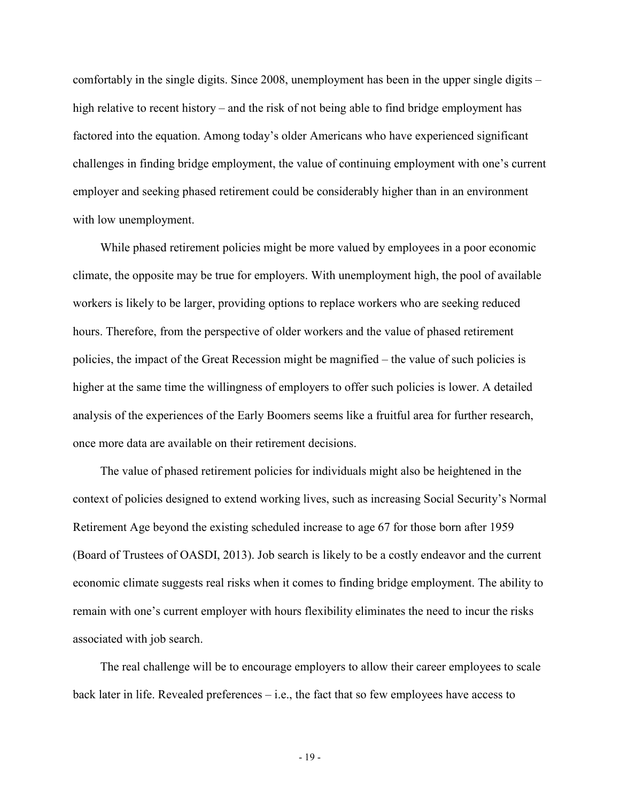comfortably in the single digits. Since 2008, unemployment has been in the upper single digits – high relative to recent history – and the risk of not being able to find bridge employment has factored into the equation. Among today's older Americans who have experienced significant challenges in finding bridge employment, the value of continuing employment with one's current employer and seeking phased retirement could be considerably higher than in an environment with low unemployment.

While phased retirement policies might be more valued by employees in a poor economic climate, the opposite may be true for employers. With unemployment high, the pool of available workers is likely to be larger, providing options to replace workers who are seeking reduced hours. Therefore, from the perspective of older workers and the value of phased retirement policies, the impact of the Great Recession might be magnified – the value of such policies is higher at the same time the willingness of employers to offer such policies is lower. A detailed analysis of the experiences of the Early Boomers seems like a fruitful area for further research, once more data are available on their retirement decisions.

The value of phased retirement policies for individuals might also be heightened in the context of policies designed to extend working lives, such as increasing Social Security's Normal Retirement Age beyond the existing scheduled increase to age 67 for those born after 1959 (Board of Trustees of OASDI, 2013). Job search is likely to be a costly endeavor and the current economic climate suggests real risks when it comes to finding bridge employment. The ability to remain with one's current employer with hours flexibility eliminates the need to incur the risks associated with job search.

The real challenge will be to encourage employers to allow their career employees to scale back later in life. Revealed preferences  $-$  i.e., the fact that so few employees have access to

- 19 -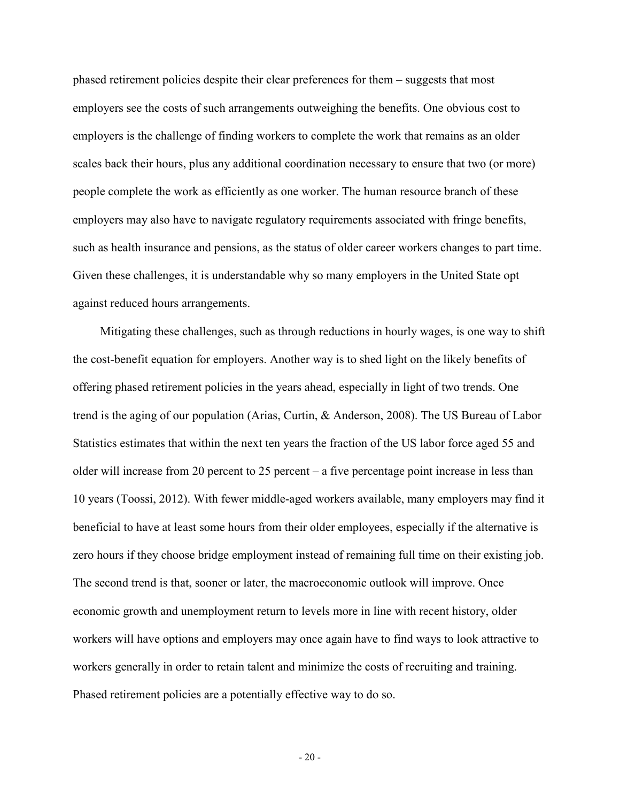phased retirement policies despite their clear preferences for them – suggests that most employers see the costs of such arrangements outweighing the benefits. One obvious cost to employers is the challenge of finding workers to complete the work that remains as an older scales back their hours, plus any additional coordination necessary to ensure that two (or more) people complete the work as efficiently as one worker. The human resource branch of these employers may also have to navigate regulatory requirements associated with fringe benefits, such as health insurance and pensions, as the status of older career workers changes to part time. Given these challenges, it is understandable why so many employers in the United State opt against reduced hours arrangements.

Mitigating these challenges, such as through reductions in hourly wages, is one way to shift the cost-benefit equation for employers. Another way is to shed light on the likely benefits of offering phased retirement policies in the years ahead, especially in light of two trends. One trend is the aging of our population (Arias, Curtin, & Anderson, 2008). The US Bureau of Labor Statistics estimates that within the next ten years the fraction of the US labor force aged 55 and older will increase from 20 percent to 25 percent – a five percentage point increase in less than 10 years (Toossi, 2012). With fewer middle-aged workers available, many employers may find it beneficial to have at least some hours from their older employees, especially if the alternative is zero hours if they choose bridge employment instead of remaining full time on their existing job. The second trend is that, sooner or later, the macroeconomic outlook will improve. Once economic growth and unemployment return to levels more in line with recent history, older workers will have options and employers may once again have to find ways to look attractive to workers generally in order to retain talent and minimize the costs of recruiting and training. Phased retirement policies are a potentially effective way to do so.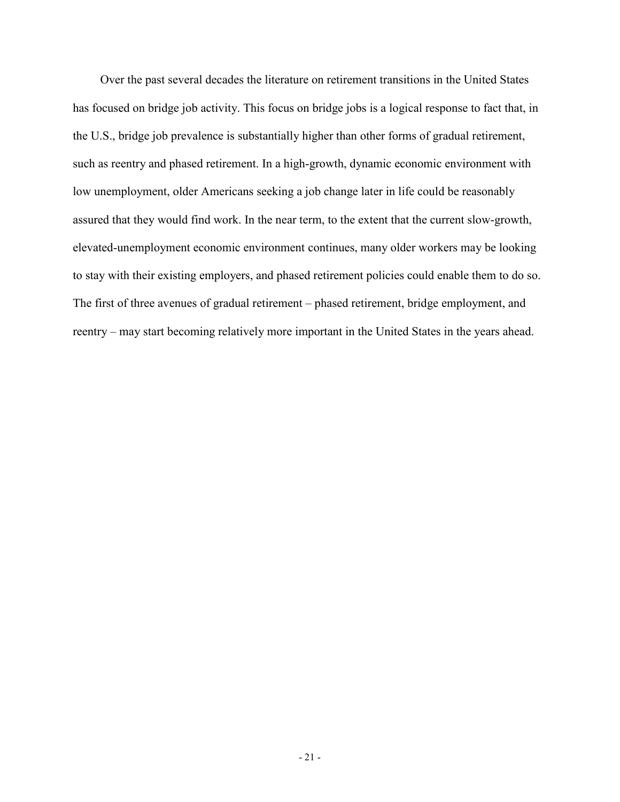Over the past several decades the literature on retirement transitions in the United States has focused on bridge job activity. This focus on bridge jobs is a logical response to fact that, in the U.S., bridge job prevalence is substantially higher than other forms of gradual retirement, such as reentry and phased retirement. In a high-growth, dynamic economic environment with low unemployment, older Americans seeking a job change later in life could be reasonably assured that they would find work. In the near term, to the extent that the current slow-growth, elevated-unemployment economic environment continues, many older workers may be looking to stay with their existing employers, and phased retirement policies could enable them to do so. The first of three avenues of gradual retirement – phased retirement, bridge employment, and reentry – may start becoming relatively more important in the United States in the years ahead.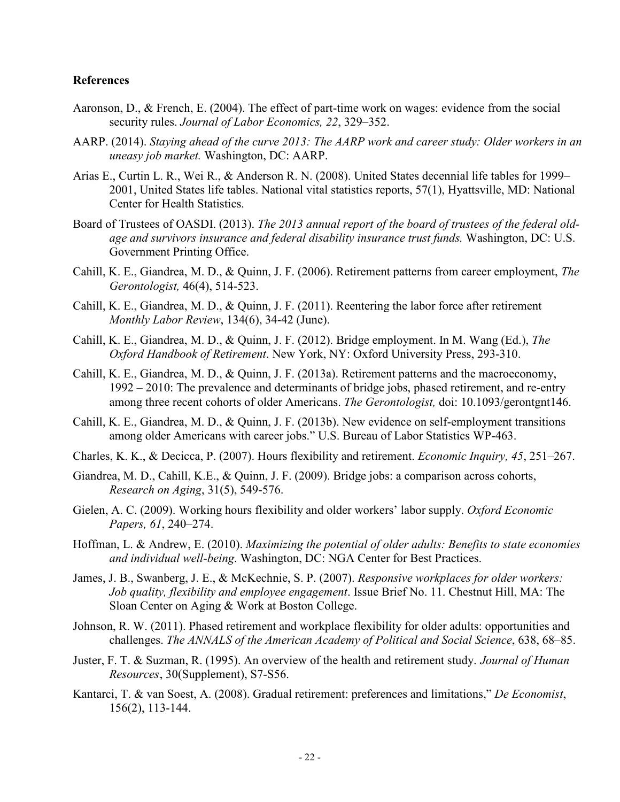## **References**

- Aaronson, D., & French, E. (2004). The effect of part-time work on wages: evidence from the social security rules. *Journal of Labor Economics, 22*, 329–352.
- AARP. (2014). *Staying ahead of the curve 2013: The AARP work and career study: Older workers in an uneasy job market.* Washington, DC: AARP.
- Arias E., Curtin L. R., Wei R., & Anderson R. N. (2008). United States decennial life tables for 1999– 2001, United States life tables. National vital statistics reports, 57(1), Hyattsville, MD: National Center for Health Statistics.
- Board of Trustees of OASDI. (2013). *The 2013 annual report of the board of trustees of the federal oldage and survivors insurance and federal disability insurance trust funds.* Washington, DC: U.S. Government Printing Office.
- Cahill, K. E., Giandrea, M. D., & Quinn, J. F. (2006). Retirement patterns from career employment, *The Gerontologist,* 46(4), 514-523.
- Cahill, K. E., Giandrea, M. D., & Quinn, J. F. (2011). Reentering the labor force after retirement *Monthly Labor Review*, 134(6), 34-42 (June).
- Cahill, K. E., Giandrea, M. D., & Quinn, J. F. (2012). Bridge employment. In M. Wang (Ed.), *The Oxford Handbook of Retirement*. New York, NY: Oxford University Press, 293-310.
- Cahill, K. E., Giandrea, M. D., & Quinn, J. F. (2013a). Retirement patterns and the macroeconomy, 1992 – 2010: The prevalence and determinants of bridge jobs, phased retirement, and re-entry among three recent cohorts of older Americans. *The Gerontologist,* doi: 10.1093/gerontgnt146.
- Cahill, K. E., Giandrea, M. D., & Quinn, J. F. (2013b). New evidence on self-employment transitions among older Americans with career jobs." U.S. Bureau of Labor Statistics WP-463.
- Charles, K. K., & Decicca, P. (2007). Hours flexibility and retirement. *Economic Inquiry, 45*, 251–267.
- Giandrea, M. D., Cahill, K.E., & Quinn, J. F. (2009). Bridge jobs: a comparison across cohorts, *Research on Aging*, 31(5), 549-576.
- Gielen, A. C. (2009). Working hours flexibility and older workers' labor supply. *Oxford Economic Papers, 61*, 240–274.
- Hoffman, L. & Andrew, E. (2010). *Maximizing the potential of older adults: Benefits to state economies and individual well-being*. Washington, DC: NGA Center for Best Practices.
- James, J. B., Swanberg, J. E., & McKechnie, S. P. (2007). *Responsive workplaces for older workers: Job quality, flexibility and employee engagement*. Issue Brief No. 11. Chestnut Hill, MA: The Sloan Center on Aging & Work at Boston College.
- Johnson, R. W. (2011). Phased retirement and workplace flexibility for older adults: opportunities and challenges. *The ANNALS of the American Academy of Political and Social Science*, 638, 68–85.
- Juster, F. T. & Suzman, R. (1995). An overview of the health and retirement study. U*Journal of Human Resources*, 30(Supplement), S7-S56.
- Kantarci, T. & van Soest, A. (2008). Gradual retirement: preferences and limitations," *De Economist*, 156(2), 113-144.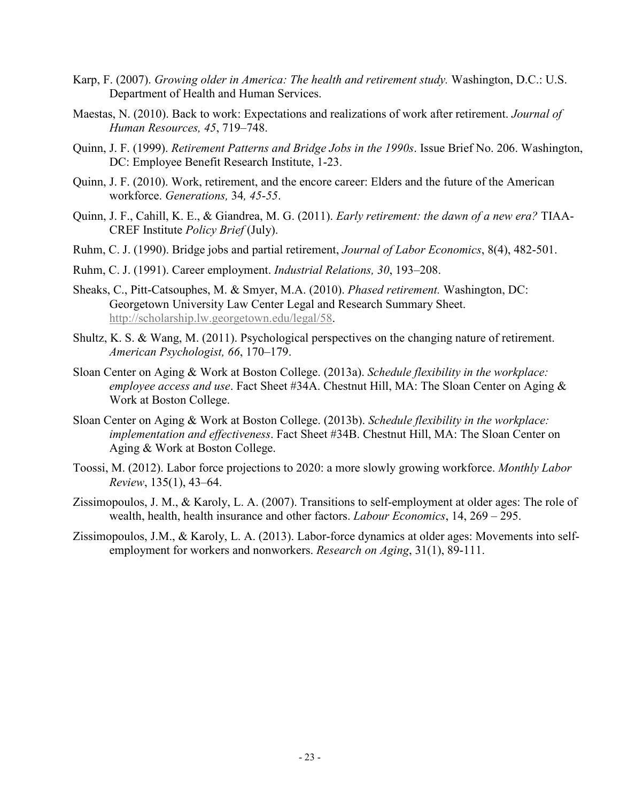- Karp, F. (2007). *Growing older in America: The health and retirement study.* Washington, D.C.: U.S. Department of Health and Human Services.
- Maestas, N. (2010). Back to work: Expectations and realizations of work after retirement. *Journal of Human Resources, 45*, 719–748.
- Quinn, J. F. (1999). *Retirement Patterns and Bridge Jobs in the 1990s*. Issue Brief No. 206. Washington, DC: Employee Benefit Research Institute, 1-23.
- Quinn, J. F. (2010). Work, retirement, and the encore career: Elders and the future of the American workforce. *Generations,* 34*, 45*-*55*.
- Quinn, J. F., Cahill, K. E., & Giandrea, M. G. (2011). *Early retirement: the dawn of a new era?* TIAA-CREF Institute *Policy Brief* (July).
- Ruhm, C. J. (1990). Bridge jobs and partial retirement, *Journal of Labor Economics*, 8(4), 482-501.
- Ruhm, C. J. (1991). Career employment. *Industrial Relations, 30*, 193–208.
- Sheaks, C., Pitt-Catsouphes, M. & Smyer, M.A. (2010). *Phased retirement.* Washington, DC: Georgetown University Law Center Legal and Research Summary Sheet. http://scholarship.lw.georgetown.edu/legal/58.
- Shultz, K. S. & Wang, M. (2011). Psychological perspectives on the changing nature of retirement. *American Psychologist, 66*, 170–179.
- Sloan Center on Aging & Work at Boston College. (2013a). *Schedule flexibility in the workplace: employee access and use*. Fact Sheet #34A. Chestnut Hill, MA: The Sloan Center on Aging & Work at Boston College.
- Sloan Center on Aging & Work at Boston College. (2013b). *Schedule flexibility in the workplace: implementation and effectiveness*. Fact Sheet #34B. Chestnut Hill, MA: The Sloan Center on Aging & Work at Boston College.
- Toossi, M. (2012). Labor force projections to 2020: a more slowly growing workforce. *Monthly Labor Review*, 135(1), 43–64.
- Zissimopoulos, J. M., & Karoly, L. A. (2007). Transitions to self-employment at older ages: The role of wealth, health, health insurance and other factors. *Labour Economics*, 14, 269 – 295.
- Zissimopoulos, J.M., & Karoly, L. A. (2013). Labor-force dynamics at older ages: Movements into selfemployment for workers and nonworkers. *Research on Aging*, 31(1), 89-111.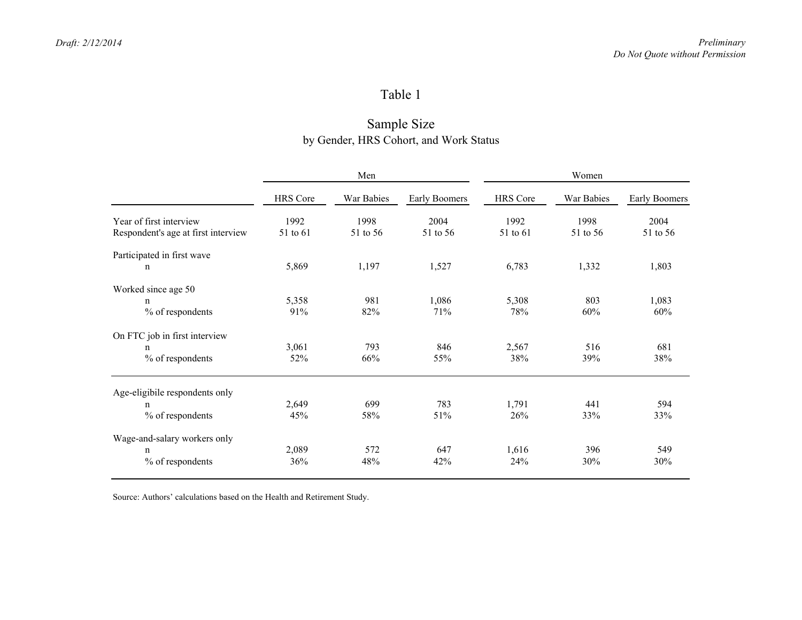# Sample Sizeby Gender, HRS Cohort, and Work Status

|                                     |                 | Men        |               | Women    |            |               |  |
|-------------------------------------|-----------------|------------|---------------|----------|------------|---------------|--|
|                                     | <b>HRS</b> Core | War Babies | Early Boomers | HRS Core | War Babies | Early Boomers |  |
| Year of first interview             | 1992            | 1998       | 2004          | 1992     | 1998       | 2004          |  |
| Respondent's age at first interview | 51 to 61        | 51 to 56   | 51 to 56      | 51 to 61 | 51 to 56   | 51 to 56      |  |
| Participated in first wave          |                 |            |               |          |            |               |  |
| $\mathbf n$                         | 5,869           | 1,197      | 1,527         | 6,783    | 1,332      | 1,803         |  |
| Worked since age 50                 |                 |            |               |          |            |               |  |
| n                                   | 5,358           | 981        | 1,086         | 5,308    | 803        | 1,083         |  |
| % of respondents                    | 91%             | 82%        | 71%           | 78%      | 60%        | 60%           |  |
| On FTC job in first interview       |                 |            |               |          |            |               |  |
| n                                   | 3,061           | 793        | 846           | 2,567    | 516        | 681           |  |
| % of respondents                    | 52%             | 66%        | 55%           | 38%      | 39%        | 38%           |  |
| Age-eligibile respondents only      |                 |            |               |          |            |               |  |
| n                                   | 2,649           | 699        | 783           | 1,791    | 441        | 594           |  |
| % of respondents                    | 45%             | 58%        | 51%           | 26%      | 33%        | 33%           |  |
| Wage-and-salary workers only        |                 |            |               |          |            |               |  |
| n                                   | 2,089           | 572        | 647           | 1,616    | 396        | 549           |  |
| % of respondents                    | 36%             | 48%        | 42%           | 24%      | 30%        | 30%           |  |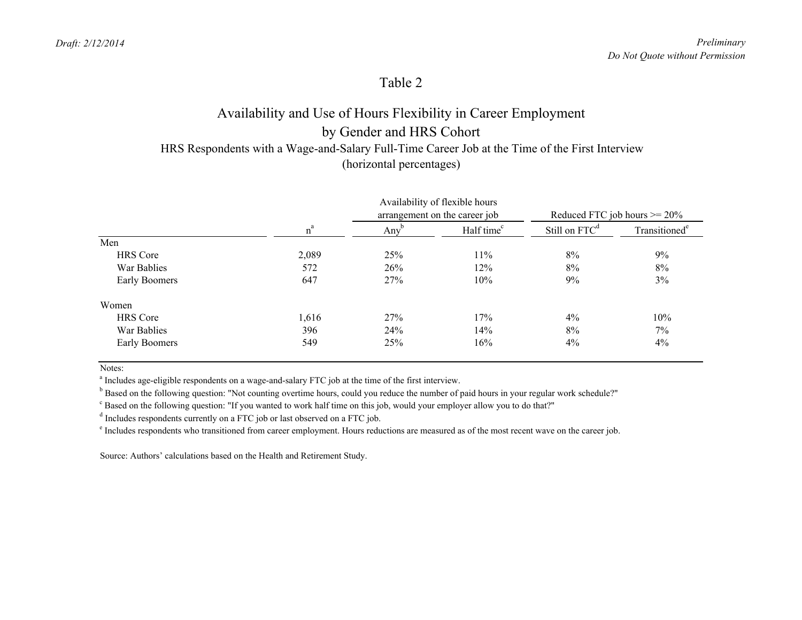## Availability and Use of Hours Flexibility in Career EmploymentHRS Respondents with a Wage-and-Salary Full-Time Career Job at the Time of the First Interview (horizontal percentages)by Gender and HRS Cohort

|                      |       |     | Availability of flexible hours<br>arrangement on the career job | Reduced FTC job hours $\ge$ 20% |                           |  |
|----------------------|-------|-----|-----------------------------------------------------------------|---------------------------------|---------------------------|--|
|                      | $n^a$ | Any | Half time <sup>c</sup>                                          | Still on FTC <sup>d</sup>       | Transitioned <sup>e</sup> |  |
| Men                  |       |     |                                                                 |                                 |                           |  |
| <b>HRS</b> Core      | 2,089 | 25% | 11%                                                             | 8%                              | 9%                        |  |
| War Bablies          | 572   | 26% | 12%                                                             | 8%                              | 8%                        |  |
| <b>Early Boomers</b> | 647   | 27% | 10%                                                             | 9%                              | 3%                        |  |
| Women                |       |     |                                                                 |                                 |                           |  |
| <b>HRS</b> Core      | 1,616 | 27% | 17%                                                             | 4%                              | 10%                       |  |
| War Bablies          | 396   | 24% | 14%                                                             | 8%                              | $7\%$                     |  |
| <b>Early Boomers</b> | 549   | 25% | 16%                                                             | 4%                              | 4%                        |  |

Notes:

<sup>a</sup> Includes age-eligible respondents on a wage-and-salary FTC job at the time of the first interview.

<sup>b</sup> Based on the following question: "Not counting overtime hours, could you reduce the number of paid hours in your regular work schedule?"

<sup>c</sup> Based on the following question: "If you wanted to work half time on this job, would your employer allow you to do that?"

<sup>d</sup> Includes respondents currently on a FTC job or last observed on a FTC job.

<sup>e</sup> Includes respondents who transitioned from career employment. Hours reductions are measured as of the most recent wave on the career job.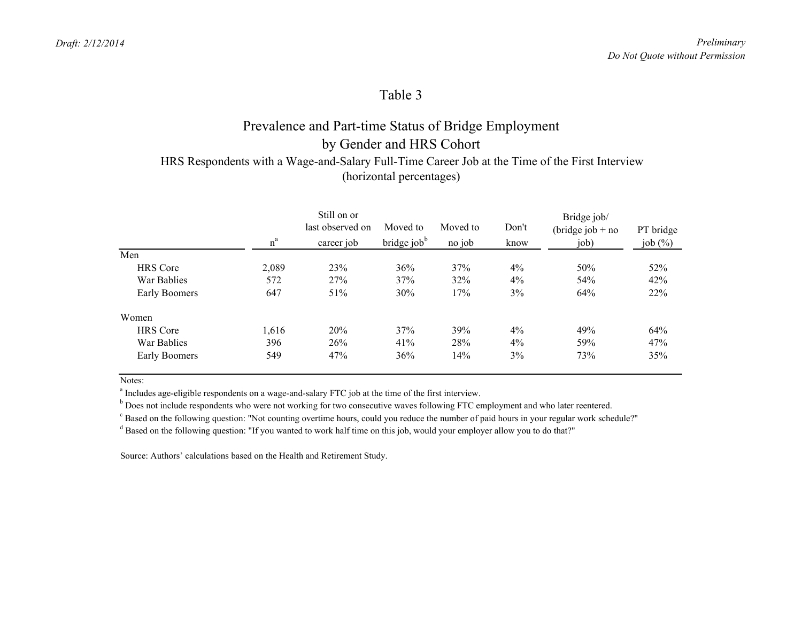## Prevalence and Part-time Status of Bridge Employmentby Gender and HRS CohortHRS Respondents with a Wage-and-Salary Full-Time Career Job at the Time of the First Interview(horizontal percentages)

|                 | $n^a$ | Still on or<br>last observed on<br>career job | Moved to<br>bridge job <sup>b</sup> | Moved to<br>no job | Don't<br>know | Bridge job/<br>$(bridge job + no$<br>job) | PT bridge<br>job $(\%)$ |
|-----------------|-------|-----------------------------------------------|-------------------------------------|--------------------|---------------|-------------------------------------------|-------------------------|
| Men             |       |                                               |                                     |                    |               |                                           |                         |
| <b>HRS</b> Core | 2,089 | 23%                                           | 36%                                 | 37%                | 4%            | 50%                                       | 52%                     |
| War Bablies     | 572   | 27%                                           | 37%                                 | 32%                | $4\%$         | 54%                                       | 42%                     |
| Early Boomers   | 647   | 51%                                           | 30%                                 | 17%                | 3%            | 64%                                       | 22%                     |
| Women           |       |                                               |                                     |                    |               |                                           |                         |
| <b>HRS</b> Core | 1,616 | 20%                                           | 37%                                 | 39%                | $4\%$         | 49%                                       | 64%                     |
| War Bablies     | 396   | 26%                                           | 41%                                 | 28%                | $4\%$         | 59%                                       | 47%                     |
| Early Boomers   | 549   | 47%                                           | 36%                                 | 14%                | 3%            | 73%                                       | 35%                     |

Notes:

<sup>a</sup> Includes age-eligible respondents on a wage-and-salary FTC job at the time of the first interview.

<sup>b</sup> Does not include respondents who were not working for two consecutive waves following FTC employment and who later reentered.

 $\epsilon$  Based on the following question: "Not counting overtime hours, could you reduce the number of paid hours in your regular work schedule?"

<sup>d</sup> Based on the following question: "If you wanted to work half time on this job, would your employer allow you to do that?"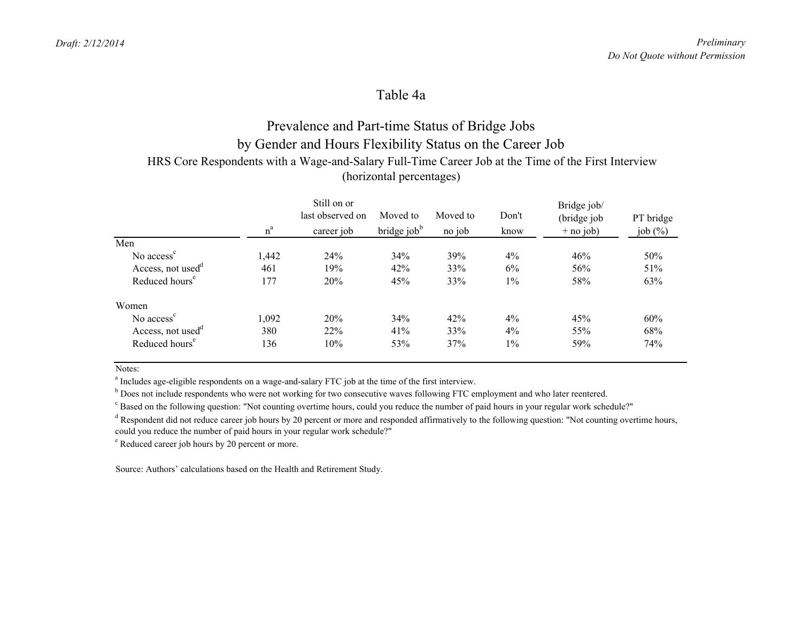## Table 4a

# Prevalence and Part-time Status of Bridge Jobs by Gender and Hours Flexibility Status on the Career Job(horizontal percentages)HRS Core Respondents with a Wage-and-Salary Full-Time Career Job at the Time of the First Interview

|                               | $n^a$ | Still on or<br>last observed on<br>career job | Moved to<br>bridge job <sup>b</sup> | Moved to<br>no job | Don't<br>know | Bridge job/<br>(bridge job<br>$+$ no job) | PT bridge<br>job $(\%)$ |
|-------------------------------|-------|-----------------------------------------------|-------------------------------------|--------------------|---------------|-------------------------------------------|-------------------------|
| Men                           |       |                                               |                                     |                    |               |                                           |                         |
| No access <sup>c</sup>        | 1,442 | 24%                                           | 34%                                 | 39%                | 4%            | 46%                                       | 50%                     |
| Access, not used <sup>a</sup> | 461   | 19%                                           | 42%                                 | 33%                | 6%            | 56%                                       | 51%                     |
| Reduced hours <sup>e</sup>    | 177   | 20%                                           | 45%                                 | 33%                | $1\%$         | 58%                                       | 63%                     |
| Women                         |       |                                               |                                     |                    |               |                                           |                         |
| No access <sup>c</sup>        | 1,092 | 20%                                           | 34%                                 | 42%                | 4%            | 45%                                       | 60%                     |
| Access, not used <sup>d</sup> | 380   | 22%                                           | 41%                                 | 33%                | $4\%$         | 55%                                       | 68%                     |
| Reduced hours <sup>e</sup>    | 136   | 10%                                           | 53%                                 | 37%                | $1\%$         | 59%                                       | 74%                     |

Notes:

<sup>a</sup> Includes age-eligible respondents on a wage-and-salary FTC job at the time of the first interview.

<sup>b</sup> Does not include respondents who were not working for two consecutive waves following FTC employment and who later reentered.

 $\epsilon$  Based on the following question: "Not counting overtime hours, could you reduce the number of paid hours in your regular work schedule?"

<sup>d</sup> Respondent did not reduce career job hours by 20 percent or more and responded affirmatively to the following question: "Not counting overtime hours, could you reduce the number of paid hours in your regular work schedule?"

<sup>e</sup> Reduced career job hours by 20 percent or more.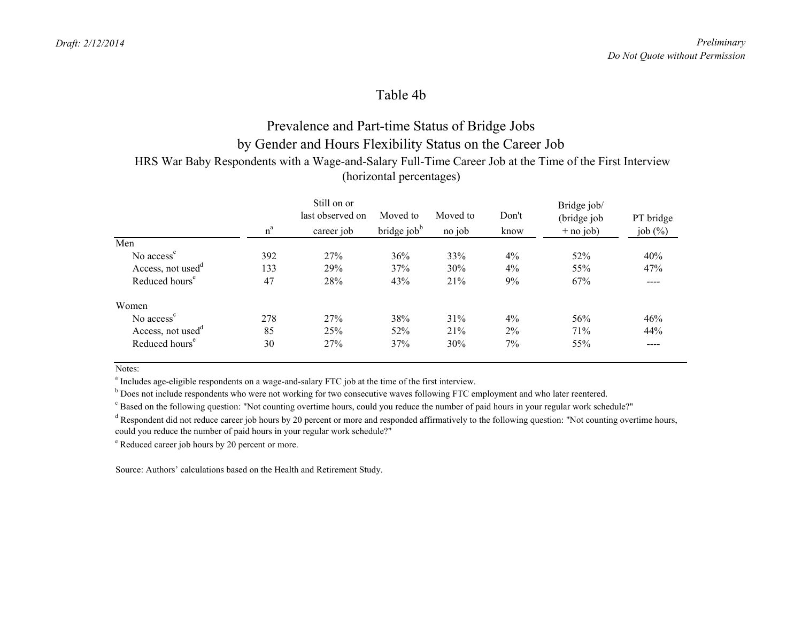## Table 4b

# Prevalence and Part-time Status of Bridge Jobs by Gender and Hours Flexibility Status on the Career Job HRS War Baby Respondents with a Wage-and-Salary Full-Time Career Job at the Time of the First Interview(horizontal percentages)

|                               | $n^a$ | Still on or<br>last observed on<br>career job | Moved to<br>bridge job <sup>b</sup> | Moved to<br>no job | Don't<br>know | Bridge job/<br>(bridge job<br>$+$ no job) | PT bridge<br>job $(\%)$ |
|-------------------------------|-------|-----------------------------------------------|-------------------------------------|--------------------|---------------|-------------------------------------------|-------------------------|
| Men                           |       |                                               |                                     |                    |               |                                           |                         |
| No access <sup>c</sup>        | 392   | 27%                                           | 36%                                 | 33%                | $4\%$         | 52%                                       | 40%                     |
| Access, not used <sup>d</sup> | 133   | 29%                                           | 37%                                 | 30%                | 4%            | 55%                                       | 47%                     |
| Reduced hours <sup>e</sup>    | 47    | 28%                                           | 43%                                 | 21%                | 9%            | 67%                                       | ----                    |
| Women                         |       |                                               |                                     |                    |               |                                           |                         |
| No access <sup>c</sup>        | 278   | 27%                                           | 38%                                 | 31%                | $4\%$         | 56%                                       | 46%                     |
| Access, not used <sup>a</sup> | 85    | 25%                                           | 52%                                 | 21%                | $2\%$         | 71%                                       | 44%                     |
| Reduced hours <sup>e</sup>    | 30    | 27%                                           | 37%                                 | 30%                | 7%            | 55%                                       | ----                    |

Notes:

<sup>a</sup> Includes age-eligible respondents on a wage-and-salary FTC job at the time of the first interview.

<sup>b</sup> Does not include respondents who were not working for two consecutive waves following FTC employment and who later reentered.

 $\epsilon$  Based on the following question: "Not counting overtime hours, could you reduce the number of paid hours in your regular work schedule?"

<sup>d</sup> Respondent did not reduce career job hours by 20 percent or more and responded affirmatively to the following question: "Not counting overtime hours, could you reduce the number of paid hours in your regular work schedule?"

<sup>e</sup> Reduced career job hours by 20 percent or more.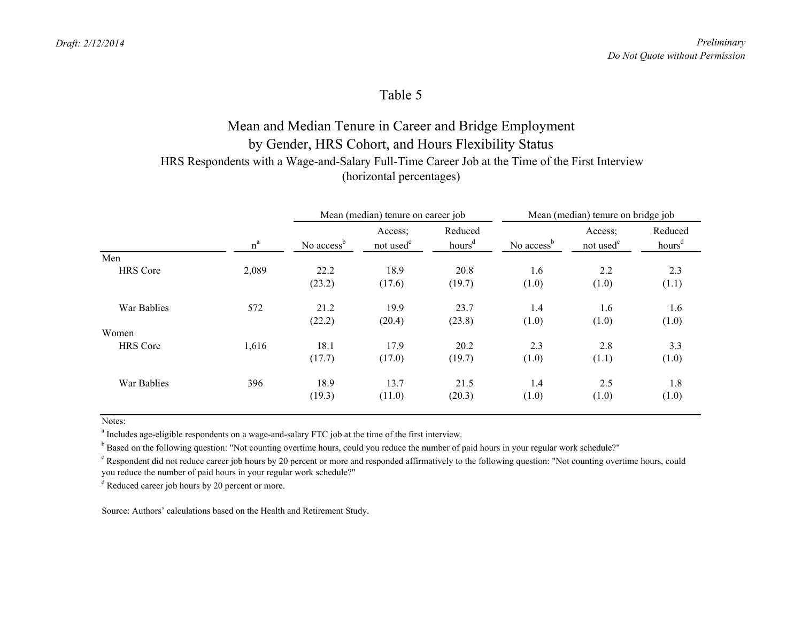# HRS Respondents with a Wage-and-Salary Full-Time Career Job at the Time of the First Interview Mean and Median Tenure in Career and Bridge Employmentby Gender, HRS Cohort, and Hours Flexibility Status(horizontal percentages)

|                 |       |                        | Mean (median) tenure on career job |                               | Mean (median) tenure on bridge job |                                  |                               |  |
|-----------------|-------|------------------------|------------------------------------|-------------------------------|------------------------------------|----------------------------------|-------------------------------|--|
|                 | $n^a$ | No access <sup>b</sup> | Access;<br>not used <sup>c</sup>   | Reduced<br>hours <sup>d</sup> | No access <sup>b</sup>             | Access;<br>not used <sup>c</sup> | Reduced<br>hours <sup>d</sup> |  |
| Men             |       |                        |                                    |                               |                                    |                                  |                               |  |
| <b>HRS</b> Core | 2,089 | 22.2                   | 18.9                               | 20.8                          | 1.6                                | 2.2                              | 2.3                           |  |
|                 |       | (23.2)                 | (17.6)                             | (19.7)                        | (1.0)                              | (1.0)                            | (1.1)                         |  |
| War Bablies     | 572   | 21.2                   | 19.9                               | 23.7                          | 1.4                                | 1.6                              | 1.6                           |  |
|                 |       | (22.2)                 | (20.4)                             | (23.8)                        | (1.0)                              | (1.0)                            | (1.0)                         |  |
| Women           |       |                        |                                    |                               |                                    |                                  |                               |  |
| <b>HRS</b> Core | 1,616 | 18.1                   | 17.9                               | 20.2                          | 2.3                                | 2.8                              | 3.3                           |  |
|                 |       | (17.7)                 | (17.0)                             | (19.7)                        | (1.0)                              | (1.1)                            | (1.0)                         |  |
| War Bablies     | 396   | 18.9                   | 13.7                               | 21.5                          | 1.4                                | 2.5                              | 1.8                           |  |
|                 |       | (19.3)                 | (11.0)                             | (20.3)                        | (1.0)                              | (1.0)                            | (1.0)                         |  |

Notes:

<sup>a</sup> Includes age-eligible respondents on a wage-and-salary FTC job at the time of the first interview.

<sup>b</sup> Based on the following question: "Not counting overtime hours, could you reduce the number of paid hours in your regular work schedule?"

<sup>c</sup> Respondent did not reduce career job hours by 20 percent or more and responded affirmatively to the following question: "Not counting overtime hours, could you reduce the number of paid hours in your regular work schedule?"

<sup>d</sup> Reduced career job hours by 20 percent or more.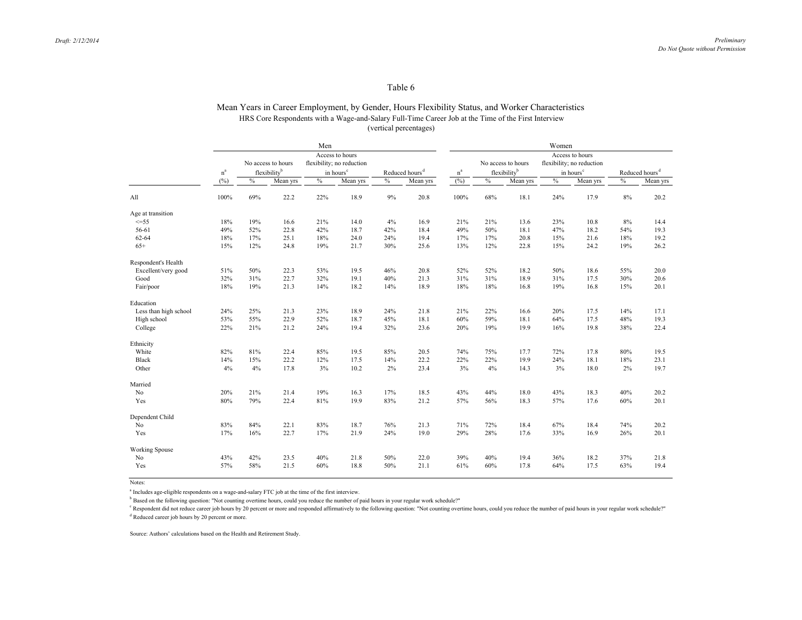#### Mean Years in Career Employment, by Gender, Hours Flexibility Status, and Worker CharacteristicsHRS Core Respondents with a Wage-and-Salary Full-Time Career Job at the Time of the First Interview(vertical percentages)

|                       |        | Men  |                                                |      |                                                                       |               |                            | Women                                                   |      |          |                                                                       |                            |               |          |
|-----------------------|--------|------|------------------------------------------------|------|-----------------------------------------------------------------------|---------------|----------------------------|---------------------------------------------------------|------|----------|-----------------------------------------------------------------------|----------------------------|---------------|----------|
|                       | $n^a$  |      | No access to hours<br>flexibility <sup>b</sup> |      | Access to hours<br>flexibility; no reduction<br>in hours <sup>c</sup> |               | Reduced hours <sup>d</sup> | No access to hours<br>$n^a$<br>flexibility <sup>b</sup> |      |          | Access to hours<br>flexibility; no reduction<br>in hours <sup>c</sup> | Reduced hours <sup>d</sup> |               |          |
|                       | $(\%)$ | $\%$ | Mean yrs                                       | $\%$ | Mean yrs                                                              | $\frac{0}{0}$ | Mean yrs                   | (%)                                                     | $\%$ | Mean yrs | $\frac{0}{0}$                                                         | Mean yrs                   | $\frac{0}{0}$ | Mean yrs |
|                       |        |      |                                                |      |                                                                       |               |                            |                                                         |      |          |                                                                       |                            |               |          |
| All                   | 100%   | 69%  | 22.2                                           | 22%  | 18.9                                                                  | 9%            | 20.8                       | 100%                                                    | 68%  | 18.1     | 24%                                                                   | 17.9                       | 8%            | 20.2     |
| Age at transition     |        |      |                                                |      |                                                                       |               |                            |                                                         |      |          |                                                                       |                            |               |          |
| $\leq$ =55            | 18%    | 19%  | 16.6                                           | 21%  | 14.0                                                                  | 4%            | 16.9                       | 21%                                                     | 21%  | 13.6     | 23%                                                                   | 10.8                       | 8%            | 14.4     |
| 56-61                 | 49%    | 52%  | 22.8                                           | 42%  | 18.7                                                                  | 42%           | 18.4                       | 49%                                                     | 50%  | 18.1     | 47%                                                                   | 18.2                       | 54%           | 19.3     |
| 62-64                 | 18%    | 17%  | 25.1                                           | 18%  | 24.0                                                                  | 24%           | 19.4                       | 17%                                                     | 17%  | 20.8     | 15%                                                                   | 21.6                       | 18%           | 19.2     |
| $65+$                 | 15%    | 12%  | 24.8                                           | 19%  | 21.7                                                                  | 30%           | 25.6                       | 13%                                                     | 12%  | 22.8     | 15%                                                                   | 24.2                       | 19%           | 26.2     |
| Respondent's Health   |        |      |                                                |      |                                                                       |               |                            |                                                         |      |          |                                                                       |                            |               |          |
| Excellent/very good   | 51%    | 50%  | 22.3                                           | 53%  | 19.5                                                                  | 46%           | 20.8                       | 52%                                                     | 52%  | 18.2     | 50%                                                                   | 18.6                       | 55%           | 20.0     |
| Good                  | 32%    | 31%  | 22.7                                           | 32%  | 19.1                                                                  | 40%           | 21.3                       | 31%                                                     | 31%  | 18.9     | 31%                                                                   | 17.5                       | 30%           | 20.6     |
| Fair/poor             | 18%    | 19%  | 21.3                                           | 14%  | 18.2                                                                  | 14%           | 18.9                       | 18%                                                     | 18%  | 16.8     | 19%                                                                   | 16.8                       | 15%           | 20.1     |
| Education             |        |      |                                                |      |                                                                       |               |                            |                                                         |      |          |                                                                       |                            |               |          |
| Less than high school | 24%    | 25%  | 21.3                                           | 23%  | 18.9                                                                  | 24%           | 21.8                       | 21%                                                     | 22%  | 16.6     | 20%                                                                   | 17.5                       | 14%           | 17.1     |
| High school           | 53%    | 55%  | 22.9                                           | 52%  | 18.7                                                                  | 45%           | 18.1                       | 60%                                                     | 59%  | 18.1     | 64%                                                                   | 17.5                       | 48%           | 19.3     |
| College               | 22%    | 21%  | 21.2                                           | 24%  | 19.4                                                                  | 32%           | 23.6                       | 20%                                                     | 19%  | 19.9     | 16%                                                                   | 19.8                       | 38%           | 22.4     |
| Ethnicity             |        |      |                                                |      |                                                                       |               |                            |                                                         |      |          |                                                                       |                            |               |          |
| White                 | 82%    | 81%  | 22.4                                           | 85%  | 19.5                                                                  | 85%           | 20.5                       | 74%                                                     | 75%  | 17.7     | 72%                                                                   | 17.8                       | 80%           | 19.5     |
| Black                 | 14%    | 15%  | 22.2                                           | 12%  | 17.5                                                                  | 14%           | 22.2                       | 22%                                                     | 22%  | 19.9     | 24%                                                                   | 18.1                       | 18%           | 23.1     |
| Other                 | 4%     | 4%   | 17.8                                           | 3%   | 10.2                                                                  | 2%            | 23.4                       | 3%                                                      | 4%   | 14.3     | 3%                                                                    | 18.0                       | 2%            | 19.7     |
| Married               |        |      |                                                |      |                                                                       |               |                            |                                                         |      |          |                                                                       |                            |               |          |
| N <sub>o</sub>        | 20%    | 21%  | 21.4                                           | 19%  | 16.3                                                                  | 17%           | 18.5                       | 43%                                                     | 44%  | 18.0     | 43%                                                                   | 18.3                       | 40%           | 20.2     |
| Yes                   | 80%    | 79%  | 22.4                                           | 81%  | 19.9                                                                  | 83%           | 21.2                       | 57%                                                     | 56%  | 18.3     | 57%                                                                   | 17.6                       | 60%           | 20.1     |
| Dependent Child       |        |      |                                                |      |                                                                       |               |                            |                                                         |      |          |                                                                       |                            |               |          |
| No                    | 83%    | 84%  | 22.1                                           | 83%  | 18.7                                                                  | 76%           | 21.3                       | 71%                                                     | 72%  | 18.4     | 67%                                                                   | 18.4                       | 74%           | 20.2     |
| Yes                   | 17%    | 16%  | 22.7                                           | 17%  | 21.9                                                                  | 24%           | 19.0                       | 29%                                                     | 28%  | 17.6     | 33%                                                                   | 16.9                       | 26%           | 20.1     |
| <b>Working Spouse</b> |        |      |                                                |      |                                                                       |               |                            |                                                         |      |          |                                                                       |                            |               |          |
| No                    | 43%    | 42%  |                                                | 40%  | 21.8                                                                  | 50%           | 22.0                       | 39%                                                     | 40%  | 19.4     | 36%                                                                   |                            | 37%           | 21.8     |
| Yes                   | 57%    | 58%  | 21.5                                           | 60%  | 18.8                                                                  | 50%           | 21.1                       | 61%                                                     | 60%  | 17.8     | 64%                                                                   | 17.5                       | 63%           | 19.4     |
|                       |        |      | 23.5                                           |      |                                                                       |               |                            |                                                         |      |          |                                                                       | 18.2                       |               |          |

Notes:

<sup>a</sup> Includes age-eligible respondents on a wage-and-salary FTC job at the time of the first interview.

<sup>b</sup> Based on the following question: "Not counting overtime hours, could you reduce the number of paid hours in your regular work schedule?"

"Respondent did not reduce career job hours by 20 percent or more and responded affirmatively to the following question: "Not counting overtime hours, could you reduce the number of paid hours in your regular work schedule <sup>d</sup> Reduced career job hours by 20 percent or more.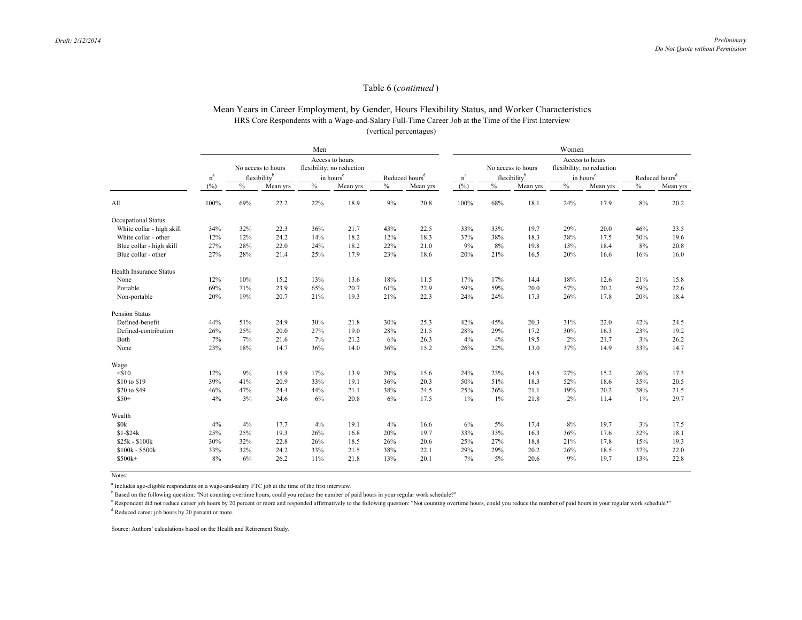### Table 6 (*continued* )

#### Mean Years in Career Employment, by Gender, Hours Flexibility Status, and Worker CharacteristicsHRS Core Respondents with a Wage-and-Salary Full-Time Career Job at the Time of the First Interview(vertical percentages)

|                                |       | Men  |                          |      |                                              |      |                            | Women |       |                    |      |                                              |       |                            |
|--------------------------------|-------|------|--------------------------|------|----------------------------------------------|------|----------------------------|-------|-------|--------------------|------|----------------------------------------------|-------|----------------------------|
|                                |       |      | No access to hours       |      | Access to hours<br>flexibility; no reduction |      |                            |       |       | No access to hours |      | Access to hours<br>flexibility; no reduction |       |                            |
|                                | $n^a$ |      | flexibility <sup>b</sup> |      | in hours <sup>c</sup>                        |      | Reduced hours <sup>d</sup> | $n^a$ |       | flexibility $b$    |      | in hours <sup>c</sup>                        |       | Reduced hours <sup>d</sup> |
|                                | (%)   | $\%$ | Mean yrs                 | $\%$ | Mean yrs                                     | $\%$ | Mean yrs                   | (%)   | $\%$  | Mean yrs           | $\%$ | Mean yrs                                     | $\%$  | Mean yrs                   |
| All                            | 100%  | 69%  | 22.2                     | 22%  | 18.9                                         | 9%   | 20.8                       | 100%  | 68%   | 18.1               | 24%  | 17.9                                         | 8%    | 20.2                       |
| Occupational Status            |       |      |                          |      |                                              |      |                            |       |       |                    |      |                                              |       |                            |
| White collar - high skill      | 34%   | 32%  | 22.3                     | 36%  | 21.7                                         | 43%  | 22.5                       | 33%   | 33%   | 19.7               | 29%  | 20.0                                         | 46%   | 23.5                       |
| White collar - other           | 12%   | 12%  | 24.2                     | 14%  | 18.2                                         | 12%  | 18.3                       | 37%   | 38%   | 18.3               | 38%  | 17.5                                         | 30%   | 19.6                       |
| Blue collar - high skill       | 27%   | 28%  | 22.0                     | 24%  | 18.2                                         | 22%  | 21.0                       | 9%    | 8%    | 19.8               | 13%  | 18.4                                         | 8%    | 20.8                       |
| Blue collar - other            | 27%   | 28%  | 21.4                     | 25%  | 17.9                                         | 23%  | 18.6                       | 20%   | 21%   | 16.5               | 20%  | 16.6                                         | 16%   | 16.0                       |
| <b>Health Insurance Status</b> |       |      |                          |      |                                              |      |                            |       |       |                    |      |                                              |       |                            |
| None                           | 12%   | 10%  | 15.2                     | 13%  | 13.6                                         | 18%  | 11.5                       | 17%   | 17%   | 14.4               | 18%  | 12.6                                         | 21%   | 15.8                       |
| Portable                       | 69%   | 71%  | 23.9                     | 65%  | 20.7                                         | 61%  | 22.9                       | 59%   | 59%   | 20.0               | 57%  | 20.2                                         | 59%   | 22.6                       |
| Non-portable                   | 20%   | 19%  | 20.7                     | 21%  | 19.3                                         | 21%  | 22.3                       | 24%   | 24%   | 17.3               | 26%  | 17.8                                         | 20%   | 18.4                       |
| Pension Status                 |       |      |                          |      |                                              |      |                            |       |       |                    |      |                                              |       |                            |
| Defined-benefit                | 44%   | 51%  | 24.9                     | 30%  | 21.8                                         | 30%  | 25.3                       | 42%   | 45%   | 20.3               | 31%  | 22.0                                         | 42%   | 24.5                       |
| Defined-contribution           | 26%   | 25%  | 20.0                     | 27%  | 19.0                                         | 28%  | 21.5                       | 28%   | 29%   | 17.2               | 30%  | 16.3                                         | 23%   | 19.2                       |
| Both                           | 7%    | 7%   | 21.6                     | 7%   | 21.2                                         | 6%   | 26.3                       | 4%    | 4%    | 19.5               | 2%   | 21.7                                         | 3%    | 26.2                       |
| None                           | 23%   | 18%  | 14.7                     | 36%  | 14.0                                         | 36%  | 15.2                       | 26%   | 22%   | 13.0               | 37%  | 14.9                                         | 33%   | 14.7                       |
| Wage                           |       |      |                          |      |                                              |      |                            |       |       |                    |      |                                              |       |                            |
| $<$ \$10                       | 12%   | 9%   | 15.9                     | 17%  | 13.9                                         | 20%  | 15.6                       | 24%   | 23%   | 14.5               | 27%  | 15.2                                         | 26%   | 17.3                       |
| \$10 to \$19                   | 39%   | 41%  | 20.9                     | 33%  | 19.1                                         | 36%  | 20.3                       | 50%   | 51%   | 18.3               | 52%  | 18.6                                         | 35%   | 20.5                       |
| \$20 to \$49                   | 46%   | 47%  | 24.4                     | 44%  | 21.1                                         | 38%  | 24.5                       | 25%   | 26%   | 21.1               | 19%  | 20.2                                         | 38%   | 21.5                       |
| $$50+$                         | 4%    | 3%   | 24.6                     | 6%   | 20.8                                         | 6%   | 17.5                       | $1\%$ | $1\%$ | 21.8               | 2%   | 11.4                                         | $1\%$ | 29.7                       |
| Wealth                         |       |      |                          |      |                                              |      |                            |       |       |                    |      |                                              |       |                            |
| \$0k                           | 4%    | 4%   | 17.7                     | 4%   | 19.1                                         | 4%   | 16.6                       | 6%    | 5%    | 17.4               | 8%   | 19.7                                         | 3%    | 17.5                       |
| \$1-\$24k                      | 25%   | 25%  | 19.3                     | 26%  | 16.8                                         | 20%  | 19.7                       | 33%   | 33%   | 16.3               | 36%  | 17.6                                         | 32%   | 18.1                       |
| $$25k - $100k$                 | 30%   | 32%  | 22.8                     | 26%  | 18.5                                         | 26%  | 20.6                       | 25%   | 27%   | 18.8               | 21%  | 17.8                                         | 15%   | 19.3                       |
| \$100k - \$500k                | 33%   | 32%  | 24.2                     | 33%  | 21.5                                         | 38%  | 22.1                       | 29%   | 29%   | 20.2               | 26%  | 18.5                                         | 37%   | 22.0                       |
| $$500k+$                       | 8%    | 6%   | 26.2                     | 11%  | 21.8                                         | 13%  | 20.1                       | 7%    | $5\%$ | 20.6               | 9%   | 19.7                                         | 13%   | 22.8                       |

Notes:

<sup>a</sup> Includes age-eligible respondents on a wage-and-salary FTC job at the time of the first interview.

<sup>b</sup> Based on the following question: "Not counting overtime hours, could you reduce the number of paid hours in your regular work schedule?"

"Respondent did not reduce career job hours by 20 percent or more and responded affirmatively to the following question: "Not counting overtime hours, could you reduce the number of paid hours in your regular work schedule

<sup>d</sup> Reduced career job hours by 20 percent or more.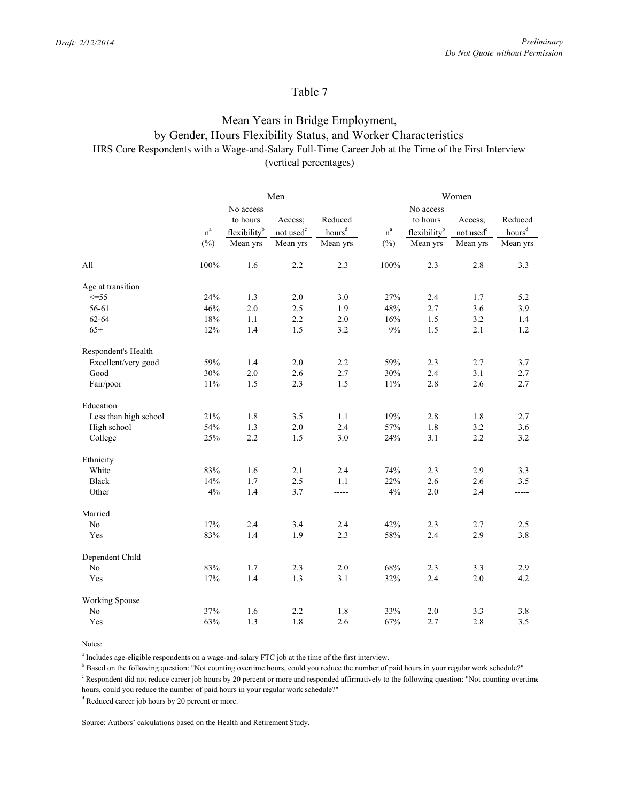## Mean Years in Bridge Employment, by Gender, Hours Flexibility Status, and Worker Characteristics HRS Core Respondents with a Wage-and-Salary Full-Time Career Job at the Time of the First Interview (vertical percentages)

|                       |                     |                                                               | Men                                          |                                           | Women               |                                                               |                                              |                                           |  |
|-----------------------|---------------------|---------------------------------------------------------------|----------------------------------------------|-------------------------------------------|---------------------|---------------------------------------------------------------|----------------------------------------------|-------------------------------------------|--|
|                       | $\rm n^a$<br>$(\%)$ | No access<br>to hours<br>flexibility <sup>b</sup><br>Mean yrs | Access;<br>not used <sup>c</sup><br>Mean yrs | Reduced<br>hours <sup>d</sup><br>Mean yrs | $\rm n^a$<br>$(\%)$ | No access<br>to hours<br>flexibility <sup>b</sup><br>Mean yrs | Access:<br>not used <sup>c</sup><br>Mean yrs | Reduced<br>hours <sup>d</sup><br>Mean yrs |  |
| All                   | 100%                | 1.6                                                           | 2.2                                          | 2.3                                       | 100%                | 2.3                                                           | 2.8                                          | 3.3                                       |  |
| Age at transition     |                     |                                                               |                                              |                                           |                     |                                                               |                                              |                                           |  |
| $\le$ =55             | 24%                 | 1.3                                                           | 2.0                                          | 3.0                                       | 27%                 | 2.4                                                           | 1.7                                          | 5.2                                       |  |
| 56-61                 | 46%                 | $2.0\,$                                                       | 2.5                                          | 1.9                                       | 48%                 | 2.7                                                           | 3.6                                          | 3.9                                       |  |
| $62 - 64$             | 18%                 | 1.1                                                           | 2.2                                          | 2.0                                       | 16%                 | 1.5                                                           | 3.2                                          | 1.4                                       |  |
| $65+$                 | 12%                 | 1.4                                                           | $1.5\,$                                      | 3.2                                       | $9\%$               | 1.5                                                           | 2.1                                          | 1.2                                       |  |
| Respondent's Health   |                     |                                                               |                                              |                                           |                     |                                                               |                                              |                                           |  |
| Excellent/very good   | 59%                 | 1.4                                                           | 2.0                                          | 2.2                                       | 59%                 | 2.3                                                           | 2.7                                          | 3.7                                       |  |
| Good                  | 30%                 | 2.0                                                           | 2.6                                          | 2.7                                       | 30%                 | 2.4                                                           | 3.1                                          | 2.7                                       |  |
| Fair/poor             | $11\%$              | 1.5                                                           | 2.3                                          | 1.5                                       | $11\%$              | 2.8                                                           | 2.6                                          | 2.7                                       |  |
| Education             |                     |                                                               |                                              |                                           |                     |                                                               |                                              |                                           |  |
| Less than high school | 21%                 | 1.8                                                           | 3.5                                          | $1.1\,$                                   | 19%                 | 2.8                                                           | $1.8\,$                                      | 2.7                                       |  |
| High school           | 54%                 | 1.3                                                           | 2.0                                          | 2.4                                       | 57%                 | 1.8                                                           | 3.2                                          | 3.6                                       |  |
| College               | 25%                 | 2.2                                                           | 1.5                                          | 3.0                                       | 24%                 | 3.1                                                           | 2.2                                          | 3.2                                       |  |
| Ethnicity             |                     |                                                               |                                              |                                           |                     |                                                               |                                              |                                           |  |
| White                 | 83%                 | 1.6                                                           | 2.1                                          | 2.4                                       | 74%                 | 2.3                                                           | 2.9                                          | 3.3                                       |  |
| <b>Black</b>          | 14%                 | 1.7                                                           | 2.5                                          | 1.1                                       | 22%                 | 2.6                                                           | 2.6                                          | 3.5                                       |  |
| Other                 | 4%                  | 1.4                                                           | 3.7                                          | -----                                     | 4%                  | 2.0                                                           | 2.4                                          | -----                                     |  |
| Married               |                     |                                                               |                                              |                                           |                     |                                                               |                                              |                                           |  |
| No                    | 17%                 | 2.4                                                           | 3.4                                          | 2.4                                       | 42%                 | 2.3                                                           | 2.7                                          | 2.5                                       |  |
| Yes                   | 83%                 | 1.4                                                           | 1.9                                          | 2.3                                       | 58%                 | 2.4                                                           | 2.9                                          | 3.8                                       |  |
| Dependent Child       |                     |                                                               |                                              |                                           |                     |                                                               |                                              |                                           |  |
| N <sub>0</sub>        | 83%                 | 1.7                                                           | 2.3                                          | 2.0                                       | 68%                 | 2.3                                                           | 3.3                                          | 2.9                                       |  |
| Yes                   | 17%                 | 1.4                                                           | 1.3                                          | 3.1                                       | 32%                 | 2.4                                                           | 2.0                                          | 4.2                                       |  |
| <b>Working Spouse</b> |                     |                                                               |                                              |                                           |                     |                                                               |                                              |                                           |  |
| No                    | 37%                 | 1.6                                                           | 2.2                                          | $1.8\,$                                   | 33%                 | $2.0\,$                                                       | 3.3                                          | 3.8                                       |  |
| Yes                   | 63%                 | 1.3                                                           | 1.8                                          | 2.6                                       | 67%                 | 2.7                                                           | 2.8                                          | 3.5                                       |  |

Notes:

<sup>a</sup> Includes age-eligible respondents on a wage-and-salary FTC job at the time of the first interview.

<sup>b</sup> Based on the following question: "Not counting overtime hours, could you reduce the number of paid hours in your regular work schedule?"

<sup>c</sup> Respondent did not reduce career job hours by 20 percent or more and responded affirmatively to the following question: "Not counting overtime hours, could you reduce the number of paid hours in your regular work schedule?"

<sup>d</sup> Reduced career job hours by 20 percent or more.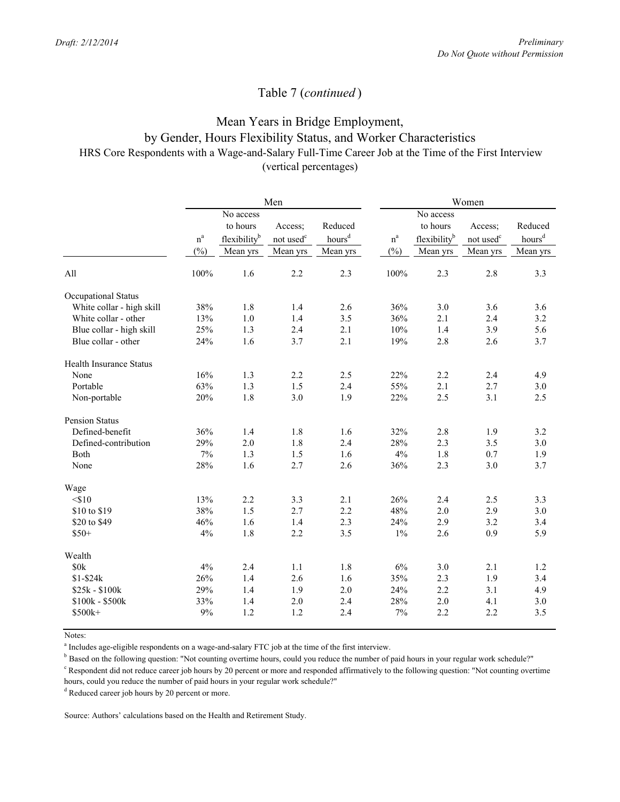## Table 7 (*continued* )

## Mean Years in Bridge Employment, by Gender, Hours Flexibility Status, and Worker Characteristics HRS Core Respondents with a Wage-and-Salary Full-Time Career Job at the Time of the First Interview (vertical percentages)

|                                |           |                          | Men                   |                    | Women     |                          |                       |                    |  |
|--------------------------------|-----------|--------------------------|-----------------------|--------------------|-----------|--------------------------|-----------------------|--------------------|--|
|                                |           | No access                |                       |                    |           | No access                |                       |                    |  |
|                                |           | to hours                 | Access;               | Reduced            |           | to hours                 | Access;               | Reduced            |  |
|                                | $\rm n^a$ | flexibility <sup>b</sup> | not used <sup>c</sup> | hours <sup>d</sup> | $\rm n^a$ | flexibility <sup>b</sup> | not used <sup>c</sup> | hours <sup>d</sup> |  |
|                                | $(\%)$    | Mean yrs                 | Mean yrs              | Mean yrs           | $(\%)$    | Mean yrs                 | Mean yrs              | Mean yrs           |  |
| All                            | 100%      | 1.6                      | 2.2                   | 2.3                | 100%      | 2.3                      | 2.8                   | 3.3                |  |
| Occupational Status            |           |                          |                       |                    |           |                          |                       |                    |  |
| White collar - high skill      | 38%       | 1.8                      | 1.4                   | 2.6                | 36%       | 3.0                      | 3.6                   | 3.6                |  |
| White collar - other           | 13%       | 1.0                      | 1.4                   | 3.5                | 36%       | 2.1                      | 2.4                   | 3.2                |  |
| Blue collar - high skill       | 25%       | 1.3                      | 2.4                   | 2.1                | 10%       | 1.4                      | 3.9                   | 5.6                |  |
| Blue collar - other            | 24%       | 1.6                      | 3.7                   | 2.1                | 19%       | 2.8                      | 2.6                   | 3.7                |  |
| <b>Health Insurance Status</b> |           |                          |                       |                    |           |                          |                       |                    |  |
| None                           | 16%       | 1.3                      | 2.2                   | 2.5                | 22%       | 2.2                      | 2.4                   | 4.9                |  |
| Portable                       | 63%       | 1.3                      | 1.5                   | 2.4                | 55%       | 2.1                      | 2.7                   | 3.0                |  |
| Non-portable                   | 20%       | 1.8                      | 3.0                   | 1.9                | 22%       | 2.5                      | 3.1                   | 2.5                |  |
| Pension Status                 |           |                          |                       |                    |           |                          |                       |                    |  |
| Defined-benefit                | 36%       | 1.4                      | 1.8                   | 1.6                | 32%       | 2.8                      | 1.9                   | 3.2                |  |
| Defined-contribution           | 29%       | 2.0                      | 1.8                   | 2.4                | 28%       | 2.3                      | 3.5                   | 3.0                |  |
| Both                           | 7%        | 1.3                      | 1.5                   | 1.6                | $4\%$     | 1.8                      | 0.7                   | 1.9                |  |
| None                           | 28%       | 1.6                      | 2.7                   | 2.6                | 36%       | 2.3                      | 3.0                   | 3.7                |  |
| Wage                           |           |                          |                       |                    |           |                          |                       |                    |  |
| $<$ \$10                       | 13%       | 2.2                      | 3.3                   | 2.1                | 26%       | 2.4                      | 2.5                   | 3.3                |  |
| \$10 to \$19                   | 38%       | 1.5                      | 2.7                   | 2.2                | 48%       | 2.0                      | 2.9                   | 3.0                |  |
| \$20 to \$49                   | 46%       | 1.6                      | 1.4                   | 2.3                | 24%       | 2.9                      | 3.2                   | 3.4                |  |
| $$50+$                         | 4%        | 1.8                      | 2.2                   | 3.5                | $1\%$     | 2.6                      | 0.9                   | 5.9                |  |
| Wealth                         |           |                          |                       |                    |           |                          |                       |                    |  |
| \$0k                           | 4%        | 2.4                      | 1.1                   | 1.8                | $6\%$     | 3.0                      | 2.1                   | 1.2                |  |
| $$1 - $24k$                    | 26%       | 1.4                      | 2.6                   | 1.6                | 35%       | 2.3                      | 1.9                   | 3.4                |  |
| $$25k - $100k$                 | 29%       | 1.4                      | 1.9                   | 2.0                | 24%       | 2.2                      | 3.1                   | 4.9                |  |
| \$100k - \$500k                | 33%       | 1.4                      | 2.0                   | 2.4                | 28%       | $2.0\,$                  | 4.1                   | 3.0                |  |
| \$500k+                        | 9%        | 1.2                      | 1.2                   | 2.4                | 7%        | 2.2                      | 2.2                   | 3.5                |  |

Notes:

<sup>a</sup> Includes age-eligible respondents on a wage-and-salary FTC job at the time of the first interview.

<sup>b</sup> Based on the following question: "Not counting overtime hours, could you reduce the number of paid hours in your regular work schedule?"

<sup>c</sup> Respondent did not reduce career job hours by 20 percent or more and responded affirmatively to the following question: "Not counting overtime hours, could you reduce the number of paid hours in your regular work schedule?"

<sup>d</sup> Reduced career job hours by 20 percent or more.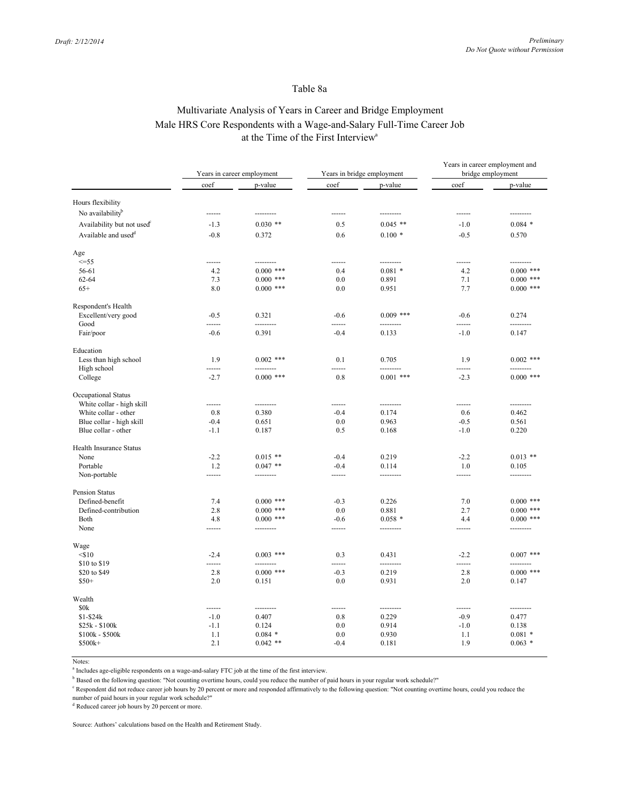#### Table 8a

## Multivariate Analysis of Years in Career and Bridge Employment Male HRS Core Respondents with a Wage-and-Salary Full-Time Career Job at the Time of the First Interview<sup>a</sup>

|                                        |               | Years in career employment |                  | Years in bridge employment | Years in career employment and<br>bridge employment |             |  |
|----------------------------------------|---------------|----------------------------|------------------|----------------------------|-----------------------------------------------------|-------------|--|
|                                        | coef          | p-value                    | coef             | p-value                    | coef                                                | p-value     |  |
| Hours flexibility                      |               |                            |                  |                            |                                                     |             |  |
|                                        |               |                            |                  |                            |                                                     |             |  |
| No availability <sup>b</sup>           | ------        | ---------                  | ------           | ---------                  | ------                                              | ---------   |  |
| Availability but not used <sup>6</sup> | $-1.3$        | $0.030**$                  | 0.5              | $0.045$ **                 | $-1.0$                                              | $0.084*$    |  |
| Available and used <sup>d</sup>        | $-0.8$        | 0.372                      | 0.6              | $0.100*$                   | $-0.5$                                              | 0.570       |  |
| Age                                    |               |                            |                  |                            |                                                     |             |  |
| $\leq$ =55                             | ------        |                            | ------           | ---------                  | ------                                              |             |  |
| 56-61                                  | 4.2           | $0.000$ ***                | 0.4              | $0.081*$                   | 4.2                                                 | $0.000$ *** |  |
| $62 - 64$                              | 7.3           | $0.000$ ***                | 0.0              | 0.891                      | 7.1                                                 | $0.000$ *** |  |
| $65+$                                  | 8.0           | $0.000$ ***                | 0.0              | 0.951                      | 7.7                                                 | $0.000$ *** |  |
| Respondent's Health                    |               |                            |                  |                            |                                                     |             |  |
| Excellent/very good                    | $-0.5$        | 0.321                      | $-0.6$           | $0.009$ ***                | $-0.6$                                              | 0.274       |  |
| Good                                   | ------        | ---------                  | ------           | ---------                  | ------                                              | ---------   |  |
| Fair/poor                              | $-0.6$        | 0.391                      | $-0.4$           | 0.133                      | $-1.0$                                              | 0.147       |  |
| Education                              |               |                            |                  |                            |                                                     |             |  |
| Less than high school                  | 1.9           | $0.002$ ***                | 0.1              | 0.705                      | 1.9                                                 | $0.002$ *** |  |
| High school                            | ------        | ----------                 | ------           | ---------                  | ------                                              | ---------   |  |
| College                                | $-2.7$        | $0.000$ ***                | 0.8              | $0.001$ ***                | $-2.3$                                              | $0.000$ *** |  |
| <b>Occupational Status</b>             |               |                            |                  |                            |                                                     |             |  |
| White collar - high skill              | -----         |                            | -----            |                            | ------                                              |             |  |
| White collar - other                   | 0.8           | 0.380                      | $-0.4$           | 0.174                      | 0.6                                                 | 0.462       |  |
| Blue collar - high skill               | $-0.4$        | 0.651                      | 0.0              | 0.963                      | $-0.5$                                              | 0.561       |  |
| Blue collar - other                    | $-1.1$        | 0.187                      | 0.5              | 0.168                      | $-1.0$                                              | 0.220       |  |
| <b>Health Insurance Status</b>         |               |                            |                  |                            |                                                     |             |  |
| None                                   | $-2.2$        | $0.015$ **                 | $-0.4$           | 0.219                      | $-2.2$                                              | $0.013$ **  |  |
| Portable                               | 1.2           | $0.047$ **                 | $-0.4$           | 0.114                      | 1.0                                                 | 0.105       |  |
| Non-portable                           | ------        | ---------                  | ------           | ---------                  | ------                                              | ---------   |  |
| Pension Status                         |               |                            |                  |                            |                                                     |             |  |
| Defined-benefit                        | 7.4           | $0.000$ ***                | $-0.3$           | 0.226                      | 7.0                                                 | $0.000$ *** |  |
| Defined-contribution                   | 2.8           | $0.000$ ***                | 0.0              | 0.881                      | 2.7                                                 | $0.000$ *** |  |
| Both<br>None                           | 4.8           | $0.000$ ***                | $-0.6$<br>------ | $0.058*$                   | 4.4<br>------                                       | $0.000$ *** |  |
|                                        |               |                            |                  |                            |                                                     |             |  |
| Wage<br>$<$ \$10                       | $-2.4$        | $0.003$ ***                | 0.3              | 0.431                      | $-2.2$                                              | $0.007$ *** |  |
|                                        |               |                            | ------           | ---------                  | ------                                              |             |  |
| \$10 to \$19<br>\$20 to \$49           | ------<br>2.8 | $0.000$ ***                | $-0.3$           | 0.219                      | 2.8                                                 | $0.000$ *** |  |
| $$50+$                                 | 2.0           | 0.151                      | 0.0              | 0.931                      | 2.0                                                 | 0.147       |  |
|                                        |               |                            |                  |                            |                                                     |             |  |
| Wealth                                 |               |                            |                  |                            |                                                     |             |  |
| \$0 <sub>k</sub>                       |               |                            |                  |                            | ------                                              |             |  |
| $$1 - $24k$                            | $-1.0$        | 0.407                      | 0.8              | 0.229                      | $-0.9$                                              | 0.477       |  |
| $$25k - $100k$                         | $-1.1$        | 0.124                      | 0.0              | 0.914                      | $-1.0$                                              | 0.138       |  |
| \$100k - \$500k                        | 1.1<br>2.1    | $0.084*$                   | 0.0              | 0.930                      | 1.1                                                 | $0.081*$    |  |
| \$500k+                                |               | $0.042$ **                 | $-0.4$           | 0.181                      | 1.9                                                 | $0.063*$    |  |

Notes:

<sup>a</sup> Includes age-eligible respondents on a wage-and-salary FTC job at the time of the first interview.

<sup>b</sup> Based on the following question: "Not counting overtime hours, could you reduce the number of paid hours in your regular work schedule?"

<sup>c</sup> Respondent did not reduce career job hours by 20 percent or more and responded affirmatively to the following question: "Not counting overtime hours, could you reduce the

number of paid hours in your regular work schedule?"

<sup>d</sup> Reduced career job hours by 20 percent or more.